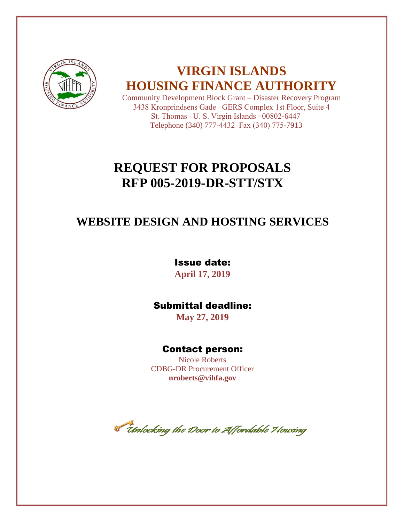

# **VIRGIN ISLANDS HOUSING FINANCE AUTHORITY**

Community Development Block Grant – Disaster Recovery Program 3438 Kronprindsens Gade ∙ GERS Complex 1st Floor, Suite 4 St. Thomas ∙ U. S. Virgin Islands ∙ 00802-6447 Telephone (340) 777-4432 ∙Fax (340) 775-7913

# **REQUEST FOR PROPOSALS RFP 005-2019-DR-STT/STX**

# **WEBSITE DESIGN AND HOSTING SERVICES**

Issue date:

**April 17, 2019**

# Submittal deadline:

**May 27, 2019**

# Contact person:

Nicole Roberts CDBG-DR Procurement Officer **nroberts@vihfa.gov**

**T** thnlocking the Door to Affordable Housing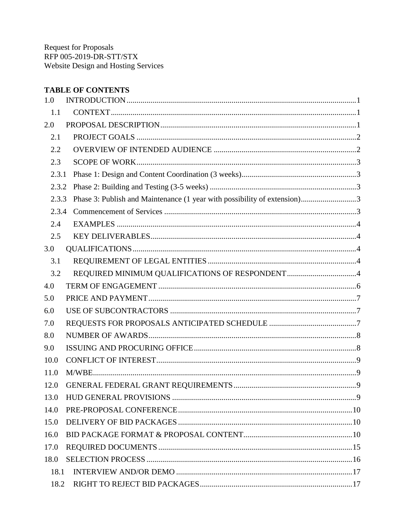# **TABLE OF CONTENTS**

| 1.0   |                                                                          |  |
|-------|--------------------------------------------------------------------------|--|
| 1.1   |                                                                          |  |
| 2.0   |                                                                          |  |
| 2.1   |                                                                          |  |
| 2.2   |                                                                          |  |
| 2.3   |                                                                          |  |
| 2.3.1 |                                                                          |  |
| 2.3.2 |                                                                          |  |
| 2.3.3 | Phase 3: Publish and Maintenance (1 year with possibility of extension)3 |  |
| 2.3.4 |                                                                          |  |
| 2.4   |                                                                          |  |
| 2.5   |                                                                          |  |
| 3.0   |                                                                          |  |
| 3.1   |                                                                          |  |
| 3.2   |                                                                          |  |
| 4.0   |                                                                          |  |
| 5.0   |                                                                          |  |
| 6.0   |                                                                          |  |
| 7.0   |                                                                          |  |
| 8.0   |                                                                          |  |
| 9.0   |                                                                          |  |
| 10.0  |                                                                          |  |
| 11.0  |                                                                          |  |
| 12.0  |                                                                          |  |
| 13.0  |                                                                          |  |
| 14.0  |                                                                          |  |
| 15.0  |                                                                          |  |
| 16.0  |                                                                          |  |
| 17.0  |                                                                          |  |
| 18.0  |                                                                          |  |
| 18.1  |                                                                          |  |
| 18.2  |                                                                          |  |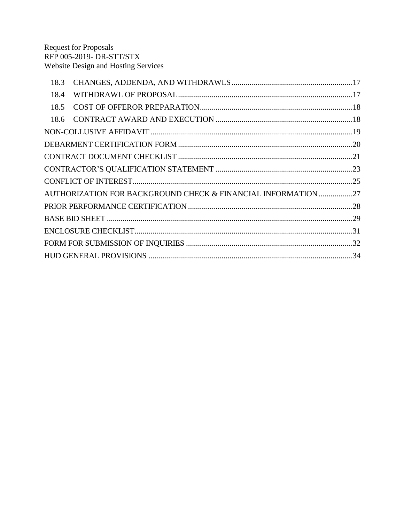| 18.3                                                          |  |
|---------------------------------------------------------------|--|
| 18.4                                                          |  |
| 18.5                                                          |  |
|                                                               |  |
|                                                               |  |
|                                                               |  |
|                                                               |  |
|                                                               |  |
|                                                               |  |
| AUTHORIZATION FOR BACKGROUND CHECK & FINANCIAL INFORMATION 27 |  |
|                                                               |  |
|                                                               |  |
|                                                               |  |
|                                                               |  |
|                                                               |  |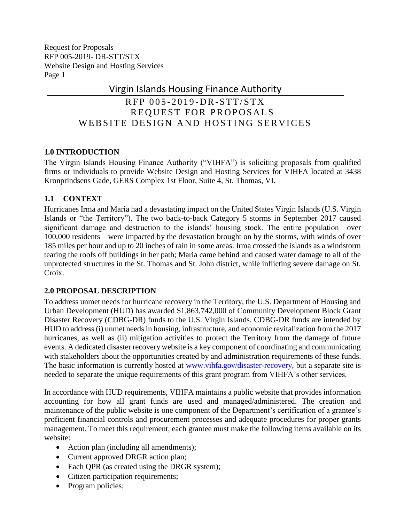# Virgin Islands Housing Finance Authority

# $RFP 005-2019-DR-STT/STX$ REQUEST FOR PROPOSALS WEBSITE DESIGN AND HOSTING SERVICES

## <span id="page-3-0"></span>**1.0 INTRODUCTION**

The Virgin Islands Housing Finance Authority ("VIHFA") is soliciting proposals from qualified firms or individuals to provide Website Design and Hosting Services for VIHFA located at 3438 Kronprindsens Gade, GERS Complex 1st Floor, Suite 4, St. Thomas, VI.

## <span id="page-3-1"></span>**1.1 CONTEXT**

Hurricanes Irma and Maria had a devastating impact on the United States Virgin Islands (U.S. Virgin Islands or "the Territory"). The two back-to-back Category 5 storms in September 2017 caused significant damage and destruction to the islands' housing stock. The entire population—over 100,000 residents—were impacted by the devastation brought on by the storms, with winds of over 185 miles per hour and up to 20 inches of rain in some areas. Irma crossed the islands as a windstorm tearing the roofs off buildings in her path; Maria came behind and caused water damage to all of the unprotected structures in the St. Thomas and St. John district, while inflicting severe damage on St. Croix.

# <span id="page-3-2"></span>**2.0 PROPOSAL DESCRIPTION**

To address unmet needs for hurricane recovery in the Territory, the U.S. Department of Housing and Urban Development (HUD) has awarded \$1,863,742,000 of Community Development Block Grant Disaster Recovery (CDBG-DR) funds to the U.S. Virgin Islands. CDBG-DR funds are intended by HUD to address (i) unmet needs in housing, infrastructure, and economic revitalization from the 2017 hurricanes, as well as (ii) mitigation activities to protect the Territory from the damage of future events. A dedicated disaster recovery website is a key component of coordinating and communicating with stakeholders about the opportunities created by and administration requirements of these funds. The basic information is currently hosted at [www.vihfa.gov/disaster-recovery,](file:///C:/Users/headlch/Documents/USVI/HFA%20RFP%20Reviews/www.vihfa.gov/disaster-recovery) but a separate site is needed to separate the unique requirements of this grant program from VIHFA's other services.

In accordance with HUD requirements, VIHFA maintains a public website that provides information accounting for how all grant funds are used and managed/administered. The creation and maintenance of the public website is one component of the Department's certification of a grantee's proficient financial controls and procurement processes and adequate procedures for proper grants management. To meet this requirement, each grantee must make the following items available on its website:

- Action plan (including all amendments);
- Current approved DRGR action plan;
- Each QPR (as created using the DRGR system);
- Citizen participation requirements;
- Program policies;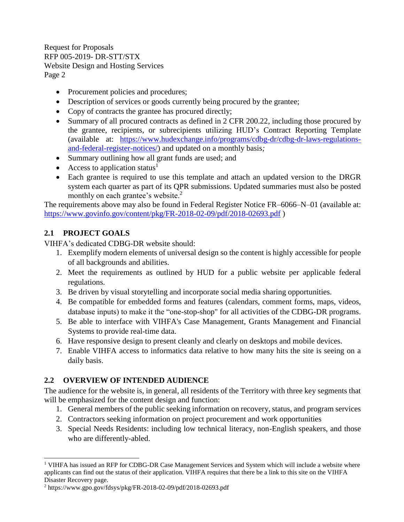- Procurement policies and procedures;
- Description of services or goods currently being procured by the grantee;
- Copy of contracts the grantee has procured directly;
- Summary of all procured contracts as defined in 2 CFR 200.22, including those procured by the grantee, recipients, or subrecipients utilizing HUD's Contract Reporting Template (available at: [https://www.hudexchange.info/programs/cdbg-dr/cdbg-dr-laws-regulations](https://www.hudexchange.info/programs/cdbg-dr/cdbg-dr-laws-regulations-and-federal-register-notices/)[and-federal-register-notices/\)](https://www.hudexchange.info/programs/cdbg-dr/cdbg-dr-laws-regulations-and-federal-register-notices/) and updated on a monthly basis*;*
- Summary outlining how all grant funds are used; and
- Access to application status<sup>1</sup>
- Each grantee is required to use this template and attach an updated version to the DRGR system each quarter as part of its QPR submissions. Updated summaries must also be posted monthly on each grantee's website.<sup>2</sup>

The requirements above may also be found in Federal Register Notice FR–6066–N–01 (available at: <https://www.govinfo.gov/content/pkg/FR-2018-02-09/pdf/2018-02693.pdf> )

# <span id="page-4-0"></span>**2.1 PROJECT GOALS**

l

VIHFA's dedicated CDBG-DR website should:

- 1. Exemplify modern elements of universal design so the content is highly accessible for people of all backgrounds and abilities.
- 2. Meet the requirements as outlined by HUD for a public website per applicable federal regulations.
- 3. Be driven by visual storytelling and incorporate social media sharing opportunities.
- 4. Be compatible for embedded forms and features (calendars, comment forms, maps, videos, database inputs) to make it the "one-stop-shop" for all activities of the CDBG-DR programs.
- 5. Be able to interface with VIHFA's Case Management, Grants Management and Financial Systems to provide real-time data.
- 6. Have responsive design to present cleanly and clearly on desktops and mobile devices.
- 7. Enable VIHFA access to informatics data relative to how many hits the site is seeing on a daily basis.

# <span id="page-4-1"></span>**2.2 OVERVIEW OF INTENDED AUDIENCE**

The audience for the website is, in general, all residents of the Territory with three key segments that will be emphasized for the content design and function:

- 1. General members of the public seeking information on recovery, status, and program services
- 2. Contractors seeking information on project procurement and work opportunities
- 3. Special Needs Residents: including low technical literacy, non-English speakers, and those who are differently-abled.

<sup>&</sup>lt;sup>1</sup> VIHFA has issued an RFP for CDBG-DR Case Management Services and System which will include a website where applicants can find out the status of their application. VIHFA requires that there be a link to this site on the VIHFA Disaster Recovery page.

<sup>2</sup> https://www.gpo.gov/fdsys/pkg/FR-2018-02-09/pdf/2018-02693.pdf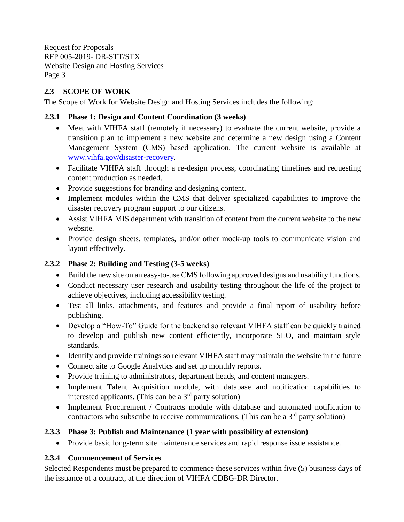## <span id="page-5-0"></span>**2.3 SCOPE OF WORK**

The Scope of Work for Website Design and Hosting Services includes the following:

## <span id="page-5-1"></span>**2.3.1 Phase 1: Design and Content Coordination (3 weeks)**

- Meet with VIHFA staff (remotely if necessary) to evaluate the current website, provide a transition plan to implement a new website and determine a new design using a Content Management System (CMS) based application. The current website is available at [www.vihfa.gov/disaster-recovery.](http://www.vihfa.gov/disaster-recovery)
- Facilitate VIHFA staff through a re-design process, coordinating timelines and requesting content production as needed.
- Provide suggestions for branding and designing content.
- Implement modules within the CMS that deliver specialized capabilities to improve the disaster recovery program support to our citizens.
- Assist VIHFA MIS department with transition of content from the current website to the new website.
- Provide design sheets, templates, and/or other mock-up tools to communicate vision and layout effectively.

# <span id="page-5-2"></span>**2.3.2 Phase 2: Building and Testing (3-5 weeks)**

- Build the new site on an easy-to-use CMS following approved designs and usability functions.
- Conduct necessary user research and usability testing throughout the life of the project to achieve objectives, including accessibility testing.
- Test all links, attachments, and features and provide a final report of usability before publishing.
- Develop a "How-To" Guide for the backend so relevant VIHFA staff can be quickly trained to develop and publish new content efficiently, incorporate SEO, and maintain style standards.
- Identify and provide trainings so relevant VIHFA staff may maintain the website in the future
- Connect site to Google Analytics and set up monthly reports.
- Provide training to administrators, department heads, and content managers.
- Implement Talent Acquisition module, with database and notification capabilities to interested applicants. (This can be a  $3<sup>rd</sup>$  party solution)
- Implement Procurement / Contracts module with database and automated notification to contractors who subscribe to receive communications. (This can be a  $3<sup>rd</sup>$  party solution)

# <span id="page-5-3"></span>**2.3.3 Phase 3: Publish and Maintenance (1 year with possibility of extension)**

• Provide basic long-term site maintenance services and rapid response issue assistance.

# <span id="page-5-4"></span>**2.3.4 Commencement of Services**

Selected Respondents must be prepared to commence these services within five (5) business days of the issuance of a contract, at the direction of VIHFA CDBG-DR Director.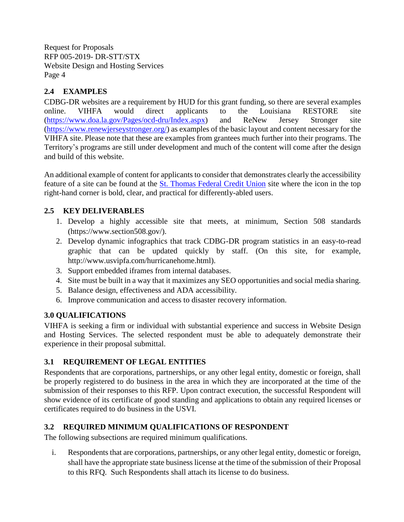# <span id="page-6-0"></span>**2.4 EXAMPLES**

CDBG-DR websites are a requirement by HUD for this grant funding, so there are several examples online. VIHFA would direct applicants to the Louisiana RESTORE site [\(https://www.doa.la.gov/Pages/ocd-dru/Index.aspx\)](https://www.doa.la.gov/Pages/ocd-dru/Index.aspx) and ReNew Jersey Stronger site [\(https://www.renewjerseystronger.org/\)](https://www.renewjerseystronger.org/) as examples of the basic layout and content necessary for the VIHFA site. Please note that these are examples from grantees much further into their programs. The Territory's programs are still under development and much of the content will come after the design and build of this website.

An additional example of content for applicants to consider that demonstrates clearly the accessibility feature of a site can be found at the [St. Thomas Federal Credit Union](https://stthomasfcu.com/) site where the icon in the top right-hand corner is bold, clear, and practical for differently-abled users.

# <span id="page-6-1"></span>**2.5 KEY DELIVERABLES**

- 1. Develop a highly accessible site that meets, at minimum, Section 508 standards (https://www.section508.gov/).
- 2. Develop dynamic infographics that track CDBG-DR program statistics in an easy-to-read graphic that can be updated quickly by staff. (On this site, for example, http://www.usvipfa.com/hurricanehome.html).
- 3. Support embedded iframes from internal databases.
- 4. Site must be built in a way that it maximizes any SEO opportunities and social media sharing.
- 5. Balance design, effectiveness and ADA accessibility.
- 6. Improve communication and access to disaster recovery information.

## <span id="page-6-2"></span>**3.0 QUALIFICATIONS**

VIHFA is seeking a firm or individual with substantial experience and success in Website Design and Hosting Services. The selected respondent must be able to adequately demonstrate their experience in their proposal submittal.

# <span id="page-6-3"></span>**3.1 REQUIREMENT OF LEGAL ENTITIES**

Respondents that are corporations, partnerships, or any other legal entity, domestic or foreign, shall be properly registered to do business in the area in which they are incorporated at the time of the submission of their responses to this RFP. Upon contract execution, the successful Respondent will show evidence of its certificate of good standing and applications to obtain any required licenses or certificates required to do business in the USVI.

## <span id="page-6-4"></span>**3.2 REQUIRED MINIMUM QUALIFICATIONS OF RESPONDENT**

The following subsections are required minimum qualifications.

i. Respondents that are corporations, partnerships, or any other legal entity, domestic or foreign, shall have the appropriate state business license at the time of the submission of their Proposal to this RFQ. Such Respondents shall attach its license to do business.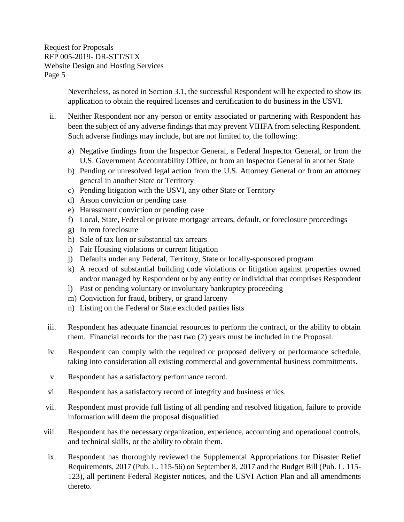> Nevertheless, as noted in Section 3.1, the successful Respondent will be expected to show its application to obtain the required licenses and certification to do business in the USVI.

- ii. Neither Respondent nor any person or entity associated or partnering with Respondent has been the subject of any adverse findings that may prevent VIHFA from selecting Respondent. Such adverse findings may include, but are not limited to, the following:
	- a) Negative findings from the Inspector General, a Federal Inspector General, or from the U.S. Government Accountability Office, or from an Inspector General in another State
	- b) Pending or unresolved legal action from the U.S. Attorney General or from an attorney general in another State or Territory
	- c) Pending litigation with the USVI, any other State or Territory
	- d) Arson conviction or pending case
	- e) Harassment conviction or pending case
	- f) Local, State, Federal or private mortgage arrears, default, or foreclosure proceedings
	- g) In rem foreclosure
	- h) Sale of tax lien or substantial tax arrears
	- i) Fair Housing violations or current litigation
	- j) Defaults under any Federal, Territory, State or locally-sponsored program
	- k) A record of substantial building code violations or litigation against properties owned and/or managed by Respondent or by any entity or individual that comprises Respondent
	- l) Past or pending voluntary or involuntary bankruptcy proceeding
	- m) Conviction for fraud, bribery, or grand larceny
	- n) Listing on the Federal or State excluded parties lists
- iii. Respondent has adequate financial resources to perform the contract, or the ability to obtain them. Financial records for the past two (2) years must be included in the Proposal.
- iv. Respondent can comply with the required or proposed delivery or performance schedule, taking into consideration all existing commercial and governmental business commitments.
- v. Respondent has a satisfactory performance record.
- vi. Respondent has a satisfactory record of integrity and business ethics.
- vii. Respondent must provide full listing of all pending and resolved litigation, failure to provide information will deem the proposal disqualified
- viii. Respondent has the necessary organization, experience, accounting and operational controls, and technical skills, or the ability to obtain them.
- ix. Respondent has thoroughly reviewed the Supplemental Appropriations for Disaster Relief Requirements, 2017 (Pub. L. 115-56) on September 8, 2017 and the Budget Bill (Pub. L. 115- 123), all pertinent Federal Register notices, and the USVI Action Plan and all amendments thereto.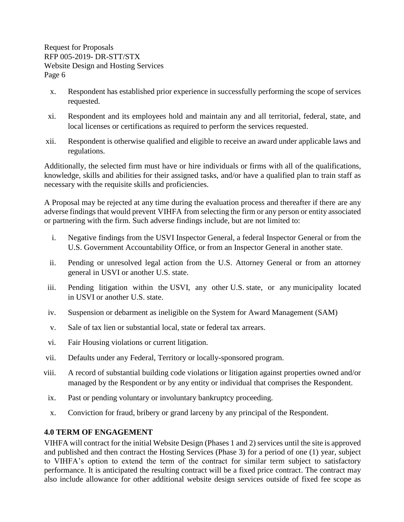- x. Respondent has established prior experience in successfully performing the scope of services requested.
- xi. Respondent and its employees hold and maintain any and all territorial, federal, state, and local licenses or certifications as required to perform the services requested.
- xii. Respondent is otherwise qualified and eligible to receive an award under applicable laws and regulations.

Additionally, the selected firm must have or hire individuals or firms with all of the qualifications, knowledge, skills and abilities for their assigned tasks, and/or have a qualified plan to train staff as necessary with the requisite skills and proficiencies.

A Proposal may be rejected at any time during the evaluation process and thereafter if there are any adverse findings that would prevent VIHFA from selecting the firm or any person or entity associated or partnering with the firm. Such adverse findings include, but are not limited to:

- i. Negative findings from the USVI Inspector General, a federal Inspector General or from the U.S. Government Accountability Office, or from an Inspector General in another state.
- ii. Pending or unresolved legal action from the U.S. Attorney General or from an attorney general in USVI or another U.S. state.
- iii. Pending litigation within the USVI, any other U.S. state, or any municipality located in USVI or another U.S. state.
- iv. Suspension or debarment as ineligible on the System for Award Management (SAM)
- v. Sale of tax lien or substantial local, state or federal tax arrears.
- vi. Fair Housing violations or current litigation.
- vii. Defaults under any Federal, Territory or locally-sponsored program.
- viii. A record of substantial building code violations or litigation against properties owned and/or managed by the Respondent or by any entity or individual that comprises the Respondent.
- ix. Past or pending voluntary or involuntary bankruptcy proceeding.
- x. Conviction for fraud, bribery or grand larceny by any principal of the Respondent.

## <span id="page-8-0"></span>**4.0 TERM OF ENGAGEMENT**

VIHFA will contract for the initial Website Design (Phases 1 and 2) services until the site is approved and published and then contract the Hosting Services (Phase 3) for a period of one (1) year, subject to VIHFA's option to extend the term of the contract for similar term subject to satisfactory performance. It is anticipated the resulting contract will be a fixed price contract. The contract may also include allowance for other additional website design services outside of fixed fee scope as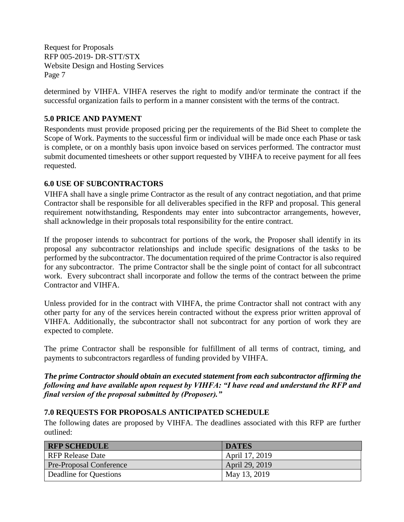determined by VIHFA. VIHFA reserves the right to modify and/or terminate the contract if the successful organization fails to perform in a manner consistent with the terms of the contract.

## <span id="page-9-0"></span>**5.0 PRICE AND PAYMENT**

Respondents must provide proposed pricing per the requirements of the Bid Sheet to complete the Scope of Work. Payments to the successful firm or individual will be made once each Phase or task is complete, or on a monthly basis upon invoice based on services performed. The contractor must submit documented timesheets or other support requested by VIHFA to receive payment for all fees requested.

## <span id="page-9-1"></span>**6.0 USE OF SUBCONTRACTORS**

VIHFA shall have a single prime Contractor as the result of any contract negotiation, and that prime Contractor shall be responsible for all deliverables specified in the RFP and proposal. This general requirement notwithstanding, Respondents may enter into subcontractor arrangements, however, shall acknowledge in their proposals total responsibility for the entire contract.

If the proposer intends to subcontract for portions of the work, the Proposer shall identify in its proposal any subcontractor relationships and include specific designations of the tasks to be performed by the subcontractor. The documentation required of the prime Contractor is also required for any subcontractor. The prime Contractor shall be the single point of contact for all subcontract work. Every subcontract shall incorporate and follow the terms of the contract between the prime Contractor and VIHFA.

Unless provided for in the contract with VIHFA, the prime Contractor shall not contract with any other party for any of the services herein contracted without the express prior written approval of VIHFA. Additionally, the subcontractor shall not subcontract for any portion of work they are expected to complete.

The prime Contractor shall be responsible for fulfillment of all terms of contract, timing, and payments to subcontractors regardless of funding provided by VIHFA.

*The prime Contractor should obtain an executed statement from each subcontractor affirming the following and have available upon request by VIHFA: "I have read and understand the RFP and final version of the proposal submitted by (Proposer)."*

## <span id="page-9-2"></span>**7.0 REQUESTS FOR PROPOSALS ANTICIPATED SCHEDULE**

The following dates are proposed by VIHFA. The deadlines associated with this RFP are further outlined:

| <b>RFP SCHEDULE</b>            | <b>DATES</b>   |
|--------------------------------|----------------|
| <b>RFP Release Date</b>        | April 17, 2019 |
| <b>Pre-Proposal Conference</b> | April 29, 2019 |
| Deadline for Questions         | May 13, 2019   |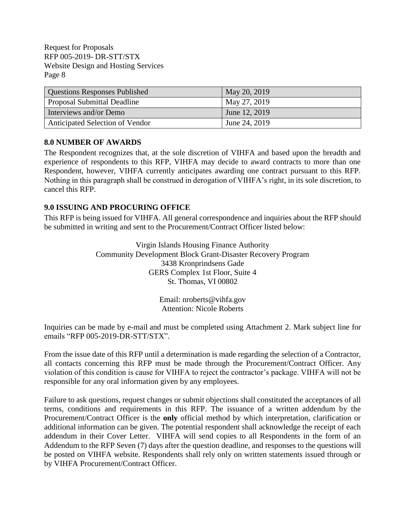| <b>Questions Responses Published</b> | May 20, 2019  |
|--------------------------------------|---------------|
| <b>Proposal Submittal Deadline</b>   | May 27, 2019  |
| Interviews and/or Demo               | June 12, 2019 |
| Anticipated Selection of Vendor      | June 24, 2019 |

### <span id="page-10-0"></span>**8.0 NUMBER OF AWARDS**

The Respondent recognizes that, at the sole discretion of VIHFA and based upon the breadth and experience of respondents to this RFP, VIHFA may decide to award contracts to more than one Respondent, however, VIHFA currently anticipates awarding one contract pursuant to this RFP. Nothing in this paragraph shall be construed in derogation of VIHFA's right, in its sole discretion, to cancel this RFP.

## <span id="page-10-1"></span>**9.0 ISSUING AND PROCURING OFFICE**

This RFP is being issued for VIHFA. All general correspondence and inquiries about the RFP should be submitted in writing and sent to the Procurement/Contract Officer listed below:

> Virgin Islands Housing Finance Authority Community Development Block Grant-Disaster Recovery Program 3438 Kronprindsens Gade GERS Complex 1st Floor, Suite 4 St. Thomas, VI 00802

> > Email: nroberts@vihfa.gov Attention: Nicole Roberts

Inquiries can be made by e-mail and must be completed using Attachment 2. Mark subject line for emails "RFP 005-2019-DR-STT/STX".

From the issue date of this RFP until a determination is made regarding the selection of a Contractor, all contacts concerning this RFP must be made through the Procurement/Contract Officer. Any violation of this condition is cause for VIHFA to reject the contractor's package. VIHFA will not be responsible for any oral information given by any employees.

Failure to ask questions, request changes or submit objections shall constituted the acceptances of all terms, conditions and requirements in this RFP. The issuance of a written addendum by the Procurement/Contract Officer is the **only** official method by which interpretation, clarification or additional information can be given. The potential respondent shall acknowledge the receipt of each addendum in their Cover Letter. VIHFA will send copies to all Respondents in the form of an Addendum to the RFP Seven (7) days after the question deadline, and responses to the questions will be posted on VIHFA website. Respondents shall rely only on written statements issued through or by VIHFA Procurement/Contract Officer.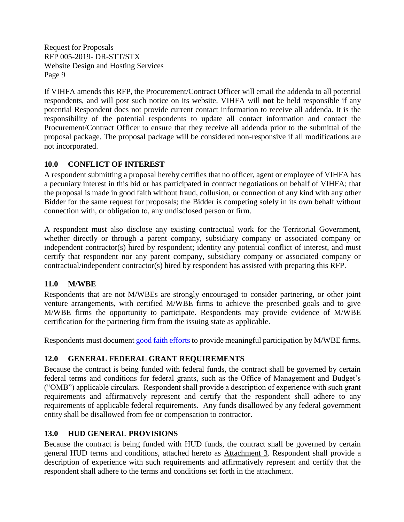If VIHFA amends this RFP, the Procurement/Contract Officer will email the addenda to all potential respondents, and will post such notice on its website. VIHFA will **not** be held responsible if any potential Respondent does not provide current contact information to receive all addenda. It is the responsibility of the potential respondents to update all contact information and contact the Procurement/Contract Officer to ensure that they receive all addenda prior to the submittal of the proposal package. The proposal package will be considered non-responsive if all modifications are not incorporated.

## <span id="page-11-0"></span>**10.0 CONFLICT OF INTEREST**

A respondent submitting a proposal hereby certifies that no officer, agent or employee of VIHFA has a pecuniary interest in this bid or has participated in contract negotiations on behalf of VIHFA; that the proposal is made in good faith without fraud, collusion, or connection of any kind with any other Bidder for the same request for proposals; the Bidder is competing solely in its own behalf without connection with, or obligation to, any undisclosed person or firm.

A respondent must also disclose any existing contractual work for the Territorial Government, whether directly or through a parent company, subsidiary company or associated company or independent contractor(s) hired by respondent; identity any potential conflict of interest, and must certify that respondent nor any parent company, subsidiary company or associated company or contractual/independent contractor(s) hired by respondent has assisted with preparing this RFP.

# <span id="page-11-1"></span>**11.0 M/WBE**

Respondents that are not M/WBEs are strongly encouraged to consider partnering, or other joint venture arrangements, with certified M/WBE firms to achieve the prescribed goals and to give M/WBE firms the opportunity to participate. Respondents may provide evidence of M/WBE certification for the partnering firm from the issuing state as applicable.

Respondents must document [good faith efforts](http://www.ogs.ny.gov/BU/DC/Docs/PDF/GoodFaithEfforts143Point8.pdf) [t](http://www.ogs.ny.gov/BU/DC/Docs/PDF/GoodFaithEfforts143Point8.pdf)o provide meaningful participation by M/WBE firms.

# <span id="page-11-2"></span>**12.0 GENERAL FEDERAL GRANT REQUIREMENTS**

Because the contract is being funded with federal funds, the contract shall be governed by certain federal terms and conditions for federal grants, such as the Office of Management and Budget's ("OMB") applicable circulars. Respondent shall provide a description of experience with such grant requirements and affirmatively represent and certify that the respondent shall adhere to any requirements of applicable federal requirements. Any funds disallowed by any federal government entity shall be disallowed from fee or compensation to contractor.

## <span id="page-11-3"></span>**13.0 HUD GENERAL PROVISIONS**

Because the contract is being funded with HUD funds, the contract shall be governed by certain general HUD terms and conditions, attached hereto as Attachment 3. Respondent shall provide a description of experience with such requirements and affirmatively represent and certify that the respondent shall adhere to the terms and conditions set forth in the attachment.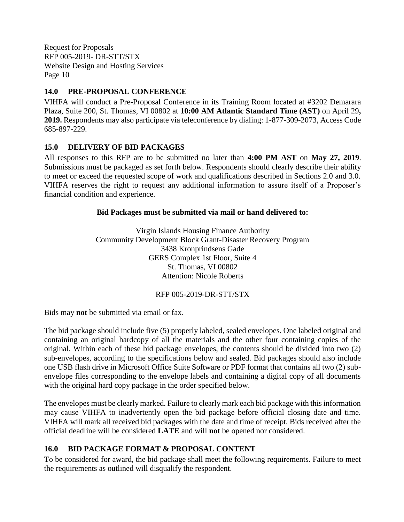## <span id="page-12-0"></span>**14.0 PRE-PROPOSAL CONFERENCE**

VIHFA will conduct a Pre-Proposal Conference in its Training Room located at #3202 Demarara Plaza, Suite 200, St. Thomas, VI 00802 at **10:00 AM Atlantic Standard Time (AST)** on April 29**, 2019.** Respondents may also participate via teleconference by dialing: 1-877-309-2073, Access Code 685-897-229.

### <span id="page-12-1"></span>**15.0 DELIVERY OF BID PACKAGES**

All responses to this RFP are to be submitted no later than **4:00 PM AST** on **May 27, 2019**. Submissions must be packaged as set forth below. Respondents should clearly describe their ability to meet or exceed the requested scope of work and qualifications described in Sections 2.0 and 3.0. VIHFA reserves the right to request any additional information to assure itself of a Proposer's financial condition and experience.

### **Bid Packages must be submitted via mail or hand delivered to:**

Virgin Islands Housing Finance Authority Community Development Block Grant-Disaster Recovery Program 3438 Kronprindsens Gade GERS Complex 1st Floor, Suite 4 St. Thomas, VI 00802 Attention: Nicole Roberts

### RFP 005-2019-DR-STT/STX

Bids may **not** be submitted via email or fax.

The bid package should include five (5) properly labeled, sealed envelopes. One labeled original and containing an original hardcopy of all the materials and the other four containing copies of the original. Within each of these bid package envelopes, the contents should be divided into two (2) sub-envelopes, according to the specifications below and sealed. Bid packages should also include one USB flash drive in Microsoft Office Suite Software or PDF format that contains all two (2) subenvelope files corresponding to the envelope labels and containing a digital copy of all documents with the original hard copy package in the order specified below.

The envelopes must be clearly marked. Failure to clearly mark each bid package with this information may cause VIHFA to inadvertently open the bid package before official closing date and time. VIHFA will mark all received bid packages with the date and time of receipt. Bids received after the official deadline will be considered **LATE** and will **not** be opened nor considered.

## <span id="page-12-2"></span>**16.0 BID PACKAGE FORMAT & PROPOSAL CONTENT**

To be considered for award, the bid package shall meet the following requirements. Failure to meet the requirements as outlined will disqualify the respondent.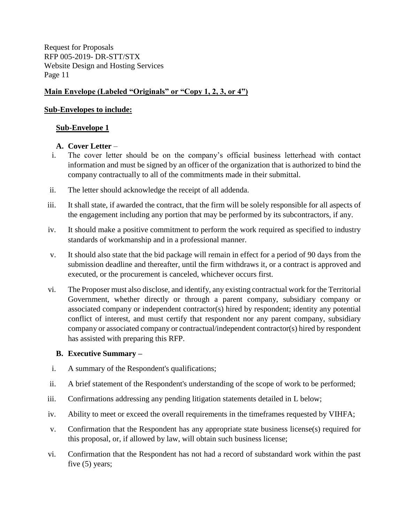## **Main Envelope (Labeled "Originals" or "Copy 1, 2, 3, or 4")**

## **Sub-Envelopes to include:**

### **Sub-Envelope 1**

## **A. Cover Letter** –

- i. The cover letter should be on the company's official business letterhead with contact information and must be signed by an officer of the organization that is authorized to bind the company contractually to all of the commitments made in their submittal.
- ii. The letter should acknowledge the receipt of all addenda.
- iii. It shall state, if awarded the contract, that the firm will be solely responsible for all aspects of the engagement including any portion that may be performed by its subcontractors, if any.
- iv. It should make a positive commitment to perform the work required as specified to industry standards of workmanship and in a professional manner.
- v. It should also state that the bid package will remain in effect for a period of 90 days from the submission deadline and thereafter, until the firm withdraws it, or a contract is approved and executed, or the procurement is canceled, whichever occurs first.
- vi. The Proposer must also disclose, and identify, any existing contractual work for the Territorial Government, whether directly or through a parent company, subsidiary company or associated company or independent contractor(s) hired by respondent; identity any potential conflict of interest, and must certify that respondent nor any parent company, subsidiary company or associated company or contractual/independent contractor(s) hired by respondent has assisted with preparing this RFP.

### **B. Executive Summary –**

- i. A summary of the Respondent's qualifications;
- ii. A brief statement of the Respondent's understanding of the scope of work to be performed;
- iii. Confirmations addressing any pending litigation statements detailed in L below;
- iv. Ability to meet or exceed the overall requirements in the timeframes requested by VIHFA;
- v. Confirmation that the Respondent has any appropriate state business license(s) required for this proposal, or, if allowed by law, will obtain such business license;
- vi. Confirmation that the Respondent has not had a record of substandard work within the past five (5) years;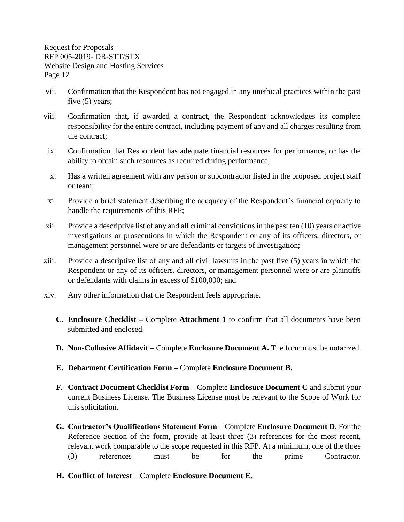- vii. Confirmation that the Respondent has not engaged in any unethical practices within the past five (5) years;
- viii. Confirmation that, if awarded a contract, the Respondent acknowledges its complete responsibility for the entire contract, including payment of any and all charges resulting from the contract;
- ix. Confirmation that Respondent has adequate financial resources for performance, or has the ability to obtain such resources as required during performance;
- x. Has a written agreement with any person or subcontractor listed in the proposed project staff or team;
- xi. Provide a brief statement describing the adequacy of the Respondent's financial capacity to handle the requirements of this RFP;
- xii. Provide a descriptive list of any and all criminal convictions in the past ten (10) years or active investigations or prosecutions in which the Respondent or any of its officers, directors, or management personnel were or are defendants or targets of investigation;
- xiii. Provide a descriptive list of any and all civil lawsuits in the past five (5) years in which the Respondent or any of its officers, directors, or management personnel were or are plaintiffs or defendants with claims in excess of \$100,000; and
- xiv. Any other information that the Respondent feels appropriate.
	- **C. Enclosure Checklist –** Complete **Attachment 1** to confirm that all documents have been submitted and enclosed.
	- **D. Non-Collusive Affidavit –** Complete **Enclosure Document A.** The form must be notarized.
	- **E. Debarment Certification Form –** Complete **Enclosure Document B.**
	- **F. Contract Document Checklist Form –** Complete **Enclosure Document C** and submit your current Business License. The Business License must be relevant to the Scope of Work for this solicitation.
	- **G. Contractor's Qualifications Statement Form** Complete **Enclosure Document D**. For the Reference Section of the form, provide at least three (3) references for the most recent, relevant work comparable to the scope requested in this RFP. At a minimum, one of the three (3) references must be for the prime Contractor.
	- **H. Conflict of Interest** Complete **Enclosure Document E.**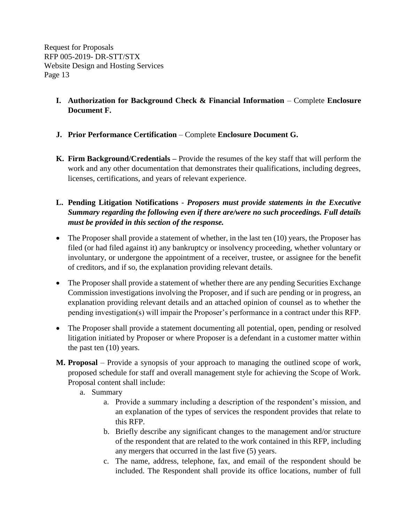- **I. Authorization for Background Check & Financial Information** Complete **Enclosure Document F.**
- **J. Prior Performance Certification**  Complete **Enclosure Document G.**
- **K. Firm Background/Credentials –** Provide the resumes of the key staff that will perform the work and any other documentation that demonstrates their qualifications, including degrees, licenses, certifications, and years of relevant experience.
- **L. Pending Litigation Notifications**  *Proposers must provide statements in the Executive Summary regarding the following even if there are/were no such proceedings. Full details must be provided in this section of the response.*
- The Proposer shall provide a statement of whether, in the last ten (10) years, the Proposer has filed (or had filed against it) any bankruptcy or insolvency proceeding, whether voluntary or involuntary, or undergone the appointment of a receiver, trustee, or assignee for the benefit of creditors, and if so, the explanation providing relevant details.
- The Proposer shall provide a statement of whether there are any pending Securities Exchange Commission investigations involving the Proposer, and if such are pending or in progress, an explanation providing relevant details and an attached opinion of counsel as to whether the pending investigation(s) will impair the Proposer's performance in a contract under this RFP.
- The Proposer shall provide a statement documenting all potential, open, pending or resolved litigation initiated by Proposer or where Proposer is a defendant in a customer matter within the past ten (10) years.
- **M. Proposal**  Provide a synopsis of your approach to managing the outlined scope of work, proposed schedule for staff and overall management style for achieving the Scope of Work. Proposal content shall include:
	- a. Summary
		- a. Provide a summary including a description of the respondent's mission, and an explanation of the types of services the respondent provides that relate to this RFP.
		- b. Briefly describe any significant changes to the management and/or structure of the respondent that are related to the work contained in this RFP, including any mergers that occurred in the last five (5) years.
		- c. The name, address, telephone, fax, and email of the respondent should be included. The Respondent shall provide its office locations, number of full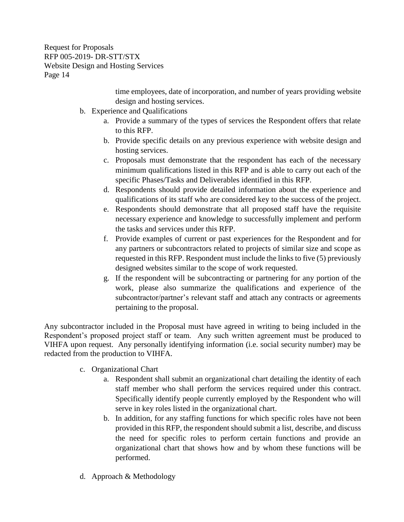> time employees, date of incorporation, and number of years providing website design and hosting services.

- b. Experience and Qualifications
	- a. Provide a summary of the types of services the Respondent offers that relate to this RFP.
	- b. Provide specific details on any previous experience with website design and hosting services.
	- c. Proposals must demonstrate that the respondent has each of the necessary minimum qualifications listed in this RFP and is able to carry out each of the specific Phases/Tasks and Deliverables identified in this RFP.
	- d. Respondents should provide detailed information about the experience and qualifications of its staff who are considered key to the success of the project.
	- e. Respondents should demonstrate that all proposed staff have the requisite necessary experience and knowledge to successfully implement and perform the tasks and services under this RFP.
	- f. Provide examples of current or past experiences for the Respondent and for any partners or subcontractors related to projects of similar size and scope as requested in this RFP. Respondent must include the links to five (5) previously designed websites similar to the scope of work requested.
	- g. If the respondent will be subcontracting or partnering for any portion of the work, please also summarize the qualifications and experience of the subcontractor/partner's relevant staff and attach any contracts or agreements pertaining to the proposal.

Any subcontractor included in the Proposal must have agreed in writing to being included in the Respondent's proposed project staff or team. Any such written agreement must be produced to VIHFA upon request. Any personally identifying information (i.e. social security number) may be redacted from the production to VIHFA.

- c. Organizational Chart
	- a. Respondent shall submit an organizational chart detailing the identity of each staff member who shall perform the services required under this contract. Specifically identify people currently employed by the Respondent who will serve in key roles listed in the organizational chart.
	- b. In addition, for any staffing functions for which specific roles have not been provided in this RFP, the respondent should submit a list, describe, and discuss the need for specific roles to perform certain functions and provide an organizational chart that shows how and by whom these functions will be performed.
- d. Approach & Methodology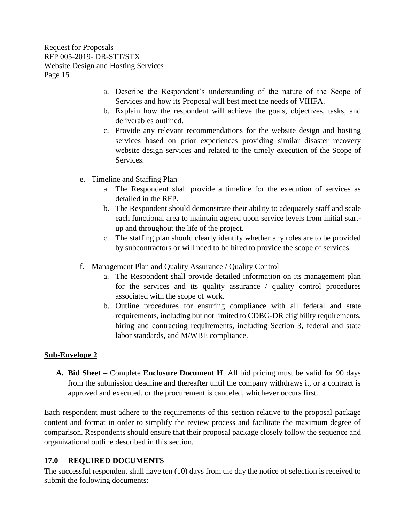- a. Describe the Respondent's understanding of the nature of the Scope of Services and how its Proposal will best meet the needs of VIHFA.
- b. Explain how the respondent will achieve the goals, objectives, tasks, and deliverables outlined.
- c. Provide any relevant recommendations for the website design and hosting services based on prior experiences providing similar disaster recovery website design services and related to the timely execution of the Scope of Services.
- e. Timeline and Staffing Plan
	- a. The Respondent shall provide a timeline for the execution of services as detailed in the RFP.
	- b. The Respondent should demonstrate their ability to adequately staff and scale each functional area to maintain agreed upon service levels from initial startup and throughout the life of the project.
	- c. The staffing plan should clearly identify whether any roles are to be provided by subcontractors or will need to be hired to provide the scope of services.
- f. Management Plan and Quality Assurance / Quality Control
	- a. The Respondent shall provide detailed information on its management plan for the services and its quality assurance / quality control procedures associated with the scope of work.
	- b. Outline procedures for ensuring compliance with all federal and state requirements, including but not limited to CDBG-DR eligibility requirements, hiring and contracting requirements, including Section 3, federal and state labor standards, and M/WBE compliance.

## **Sub-Envelope 2**

**A. Bid Sheet –** Complete **Enclosure Document H**. All bid pricing must be valid for 90 days from the submission deadline and thereafter until the company withdraws it, or a contract is approved and executed, or the procurement is canceled, whichever occurs first.

Each respondent must adhere to the requirements of this section relative to the proposal package content and format in order to simplify the review process and facilitate the maximum degree of comparison. Respondents should ensure that their proposal package closely follow the sequence and organizational outline described in this section.

# <span id="page-17-0"></span>**17.0 REQUIRED DOCUMENTS**

The successful respondent shall have ten (10) days from the day the notice of selection is received to submit the following documents: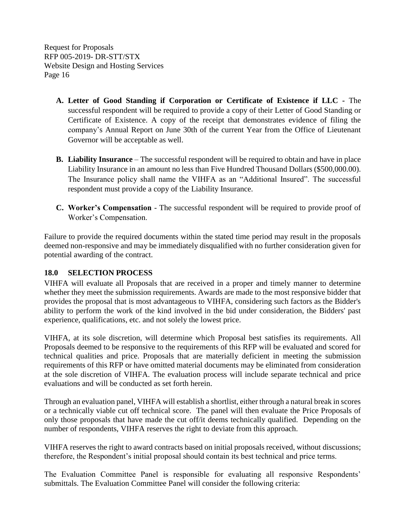- **A. Letter of Good Standing if Corporation or Certificate of Existence if LLC -** The successful respondent will be required to provide a copy of their Letter of Good Standing or Certificate of Existence. A copy of the receipt that demonstrates evidence of filing the company's Annual Report on June 30th of the current Year from the Office of Lieutenant Governor will be acceptable as well.
- **B. Liability Insurance** The successful respondent will be required to obtain and have in place Liability Insurance in an amount no less than Five Hundred Thousand Dollars (\$500,000.00). The Insurance policy shall name the VIHFA as an "Additional Insured". The successful respondent must provide a copy of the Liability Insurance.
- **C. Worker's Compensation**  The successful respondent will be required to provide proof of Worker's Compensation.

Failure to provide the required documents within the stated time period may result in the proposals deemed non-responsive and may be immediately disqualified with no further consideration given for potential awarding of the contract.

## <span id="page-18-0"></span>**18.0 SELECTION PROCESS**

VIHFA will evaluate all Proposals that are received in a proper and timely manner to determine whether they meet the submission requirements. Awards are made to the most responsive bidder that provides the proposal that is most advantageous to VIHFA, considering such factors as the Bidder's ability to perform the work of the kind involved in the bid under consideration, the Bidders' past experience, qualifications, etc. and not solely the lowest price.

VIHFA, at its sole discretion, will determine which Proposal best satisfies its requirements. All Proposals deemed to be responsive to the requirements of this RFP will be evaluated and scored for technical qualities and price. Proposals that are materially deficient in meeting the submission requirements of this RFP or have omitted material documents may be eliminated from consideration at the sole discretion of VIHFA. The evaluation process will include separate technical and price evaluations and will be conducted as set forth herein.

Through an evaluation panel, VIHFA will establish a shortlist, either through a natural break in scores or a technically viable cut off technical score. The panel will then evaluate the Price Proposals of only those proposals that have made the cut off/it deems technically qualified. Depending on the number of respondents, VIHFA reserves the right to deviate from this approach.

VIHFA reserves the right to award contracts based on initial proposals received, without discussions; therefore, the Respondent's initial proposal should contain its best technical and price terms.

The Evaluation Committee Panel is responsible for evaluating all responsive Respondents' submittals. The Evaluation Committee Panel will consider the following criteria: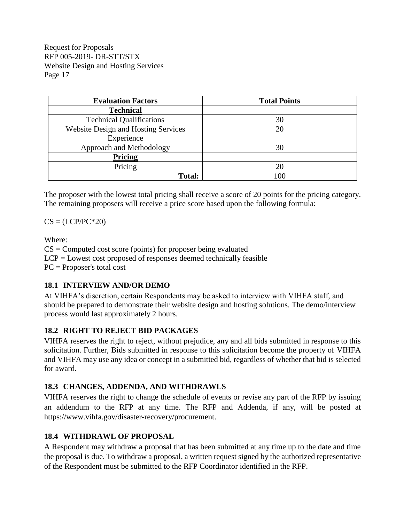| <b>Evaluation Factors</b>                  | <b>Total Points</b> |
|--------------------------------------------|---------------------|
| <b>Technical</b>                           |                     |
| <b>Technical Qualifications</b>            | 30                  |
| <b>Website Design and Hosting Services</b> | 20                  |
| Experience                                 |                     |
| Approach and Methodology                   | 30                  |
| <b>Pricing</b>                             |                     |
| Pricing                                    | 20                  |
| Total:                                     | 100                 |

The proposer with the lowest total pricing shall receive a score of 20 points for the pricing category. The remaining proposers will receive a price score based upon the following formula:

 $CS = (LCP/PC^*20)$ 

Where:

 $CS =$  Computed cost score (points) for proposer being evaluated  $LCP =$  Lowest cost proposed of responses deemed technically feasible PC = Proposer's total cost

# <span id="page-19-0"></span>**18.1 INTERVIEW AND/OR DEMO**

At VIHFA's discretion, certain Respondents may be asked to interview with VIHFA staff, and should be prepared to demonstrate their website design and hosting solutions. The demo/interview process would last approximately 2 hours.

# <span id="page-19-1"></span>**18.2 RIGHT TO REJECT BID PACKAGES**

VIHFA reserves the right to reject, without prejudice, any and all bids submitted in response to this solicitation. Further, Bids submitted in response to this solicitation become the property of VIHFA and VIHFA may use any idea or concept in a submitted bid, regardless of whether that bid is selected for award.

# <span id="page-19-2"></span>**18.3 CHANGES, ADDENDA, AND WITHDRAWLS**

VIHFA reserves the right to change the schedule of events or revise any part of the RFP by issuing an addendum to the RFP at any time. The RFP and Addenda, if any, will be posted at https://www.vihfa.gov/disaster-recovery/procurement.

## <span id="page-19-3"></span>**18.4 WITHDRAWL OF PROPOSAL**

A Respondent may withdraw a proposal that has been submitted at any time up to the date and time the proposal is due. To withdraw a proposal, a written request signed by the authorized representative of the Respondent must be submitted to the RFP Coordinator identified in the RFP.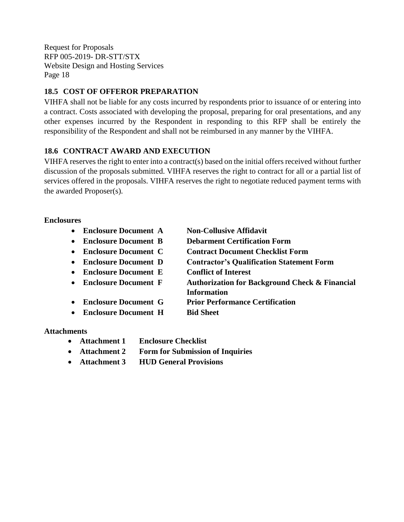## <span id="page-20-0"></span>**18.5 COST OF OFFEROR PREPARATION**

VIHFA shall not be liable for any costs incurred by respondents prior to issuance of or entering into a contract. Costs associated with developing the proposal, preparing for oral presentations, and any other expenses incurred by the Respondent in responding to this RFP shall be entirely the responsibility of the Respondent and shall not be reimbursed in any manner by the VIHFA.

## <span id="page-20-1"></span>**18.6 CONTRACT AWARD AND EXECUTION**

VIHFA reserves the right to enter into a contract(s) based on the initial offers received without further discussion of the proposals submitted. VIHFA reserves the right to contract for all or a partial list of services offered in the proposals. VIHFA reserves the right to negotiate reduced payment terms with the awarded Proposer(s).

### **Enclosures**

- **Enclosure Document A Non-Collusive Affidavit**
- **Enclosure Document B Debarment Certification Form**
- **Enclosure Document C Contract Document Checklist Form**
- **Enclosure Document D Contractor's Qualification Statement Form**
- **Enclosure Document E Conflict of Interest**
- **Enclosure Document F Authorization for Background Check & Financial Information**
	- **Enclosure Document G Prior Performance Certification**
	- **Enclosure Document H Bid Sheet**

### **Attachments**

- **Attachment 1 Enclosure Checklist**
- **Attachment 2 Form for Submission of Inquiries**
- **Attachment 3 HUD General Provisions**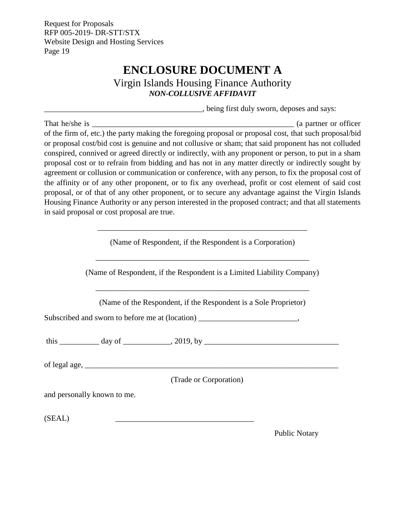# **ENCLOSURE DOCUMENT A**

Virgin Islands Housing Finance Authority *NON-COLLUSIVE AFFIDAVIT*

\_\_\_\_\_\_\_\_\_\_\_\_\_\_\_\_\_\_\_\_\_\_\_\_\_\_\_\_\_\_\_\_\_\_\_\_\_\_\_\_, being first duly sworn, deposes and says:

<span id="page-21-0"></span>That he/she is \_\_\_\_\_\_\_\_\_\_\_\_\_\_\_\_\_\_\_\_\_\_\_\_\_\_\_\_\_\_\_\_\_\_\_\_\_\_\_\_\_\_\_\_\_\_\_\_\_\_\_ (a partner or officer of the firm of, etc.) the party making the foregoing proposal or proposal cost, that such proposal/bid or proposal cost/bid cost is genuine and not collusive or sham; that said proponent has not colluded conspired, connived or agreed directly or indirectly, with any proponent or person, to put in a sham proposal cost or to refrain from bidding and has not in any matter directly or indirectly sought by agreement or collusion or communication or conference, with any person, to fix the proposal cost of the affinity or of any other proponent, or to fix any overhead, profit or cost element of said cost proposal, or of that of any other proponent, or to secure any advantage against the Virgin Islands Housing Finance Authority or any person interested in the proposed contract; and that all statements in said proposal or cost proposal are true.

|                             | (Name of Respondent, if the Respondent is a Corporation)                          |
|-----------------------------|-----------------------------------------------------------------------------------|
|                             | (Name of Respondent, if the Respondent is a Limited Liability Company)            |
|                             | (Name of the Respondent, if the Respondent is a Sole Proprietor)                  |
|                             | Subscribed and sworn to before me at (location) _________________________________ |
|                             |                                                                                   |
|                             |                                                                                   |
|                             | (Trade or Corporation)                                                            |
| and personally known to me. |                                                                                   |
| (SEAL)                      |                                                                                   |
|                             |                                                                                   |

Public Notary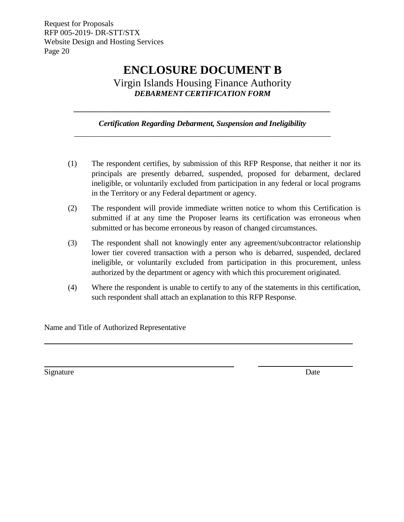# **ENCLOSURE DOCUMENT B**

Virgin Islands Housing Finance Authority *DEBARMENT CERTIFICATION FORM*

*Certification Regarding Debarment, Suspension and Ineligibility \_\_\_\_\_\_\_\_\_\_\_\_\_\_\_\_\_\_\_\_\_\_\_\_\_\_\_\_\_\_\_\_\_\_\_\_\_\_\_\_\_\_\_\_\_\_\_\_\_\_\_\_\_\_\_\_\_\_\_\_\_\_\_\_\_\_*

<span id="page-22-0"></span>*\_\_\_\_\_\_\_\_\_\_\_\_\_\_\_\_\_\_\_\_\_\_\_\_\_\_\_\_\_\_\_\_\_\_\_\_\_\_\_\_\_\_\_\_\_\_\_\_\_\_\_\_\_\_\_\_\_\_\_\_\_\_\_\_\_\_*

- (1) The respondent certifies, by submission of this RFP Response, that neither it nor its principals are presently debarred, suspended, proposed for debarment, declared ineligible, or voluntarily excluded from participation in any federal or local programs in the Territory or any Federal department or agency.
- (2) The respondent will provide immediate written notice to whom this Certification is submitted if at any time the Proposer learns its certification was erroneous when submitted or has become erroneous by reason of changed circumstances.
- (3) The respondent shall not knowingly enter any agreement/subcontractor relationship lower tier covered transaction with a person who is debarred, suspended, declared ineligible, or voluntarily excluded from participation in this procurement, unless authorized by the department or agency with which this procurement originated.
- (4) Where the respondent is unable to certify to any of the statements in this certification, such respondent shall attach an explanation to this RFP Response.

Name and Title of Authorized Representative

Signature Date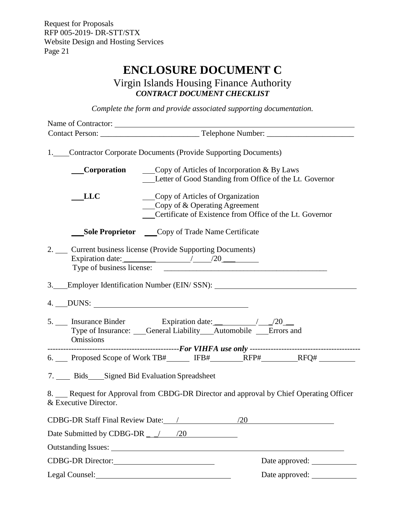# **ENCLOSURE DOCUMENT C**

Virgin Islands Housing Finance Authority *CONTRACT DOCUMENT CHECKLIST*

*Complete the form and provide associated supporting documentation.*

<span id="page-23-0"></span>

| 1. Contractor Corporate Documents (Provide Supporting Documents)                                               |                                                                                                                                                      |                |
|----------------------------------------------------------------------------------------------------------------|------------------------------------------------------------------------------------------------------------------------------------------------------|----------------|
|                                                                                                                | <b>Corporation</b> $\qquad \qquad \text{Copy of Articles of Incorporation & By Laws}$<br>Letter of Good Standing from Office of the Lt. Governor     |                |
| LLC                                                                                                            | Copy of Articles of Organization<br>$\qquad \qquad \text{Copy of & Operating Agreement}$<br>Certificate of Existence from Office of the Lt. Governor |                |
|                                                                                                                | <b>Sole Proprietor</b> Copy of Trade Name Certificate                                                                                                |                |
| 2. __ Current business license (Provide Supporting Documents)<br>Type of business license:                     | Expiration date: $\frac{20}{20}$                                                                                                                     |                |
| 3. Employer Identification Number (EIN/SSN): ___________________________________                               |                                                                                                                                                      |                |
|                                                                                                                |                                                                                                                                                      |                |
| Omissions                                                                                                      | Type of Insurance: Ceneral Liability Automobile Errors and                                                                                           |                |
| 6. Proposed Scope of Work TB#______ IFB#________RFP#_________RFQ# ______________                               |                                                                                                                                                      |                |
| 7. Bids Signed Bid Evaluation Spreadsheet                                                                      |                                                                                                                                                      |                |
| 8. Request for Approval from CBDG-DR Director and approval by Chief Operating Officer<br>& Executive Director. |                                                                                                                                                      |                |
|                                                                                                                |                                                                                                                                                      |                |
| Date Submitted by CDBG-DR ___/ ___ /20                                                                         |                                                                                                                                                      |                |
|                                                                                                                |                                                                                                                                                      |                |
| CDBG-DR Director:                                                                                              |                                                                                                                                                      | Date approved: |
| Legal Counsel:                                                                                                 |                                                                                                                                                      | Date approved: |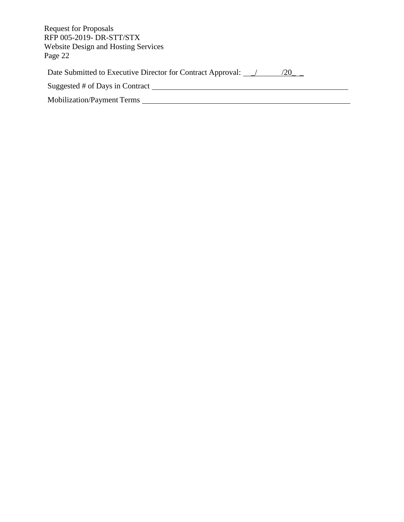| <b>Request for Proposals</b><br>RFP 005-2019- DR-STT/STX<br><b>Website Design and Hosting Services</b><br>Page 22 |  |
|-------------------------------------------------------------------------------------------------------------------|--|
| Date Submitted to Executive Director for Contract Approval: \[ \]<br>/20                                          |  |
| Suggested # of Days in Contract                                                                                   |  |
| Mobilization/Payment Terms                                                                                        |  |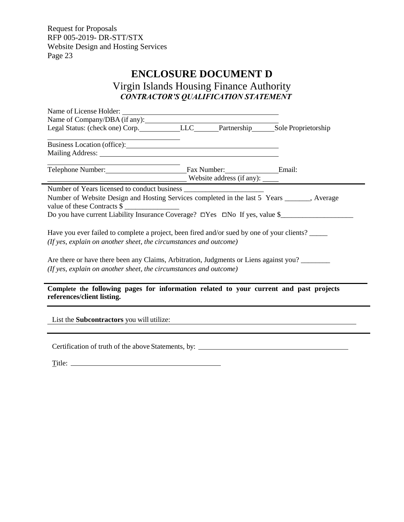$\overline{\phantom{0}}$ 

# **ENCLOSURE DOCUMENT D**

<span id="page-25-0"></span>Virgin Islands Housing Finance Authority *CONTRACTOR'S QUALIFICATION STATEMENT*

| Name of Company/DBA (if any):<br>Legal Status: (check one) Corp. LLC Legal Status: (check one) Corp. LLC LEC LEC Partnership Sole Proprietorship                                                                               |  |  |                                               |  |  |
|--------------------------------------------------------------------------------------------------------------------------------------------------------------------------------------------------------------------------------|--|--|-----------------------------------------------|--|--|
|                                                                                                                                                                                                                                |  |  |                                               |  |  |
| Business Location (office):                                                                                                                                                                                                    |  |  |                                               |  |  |
| Mailing Address: National Address: National Address: National Address: National Address: National Address: National Address: National Address: National Address: National Address: National Address: National Address: Nationa |  |  |                                               |  |  |
| Telephone Number: Email: Fax Number: Email:                                                                                                                                                                                    |  |  |                                               |  |  |
| Website address (if any):                                                                                                                                                                                                      |  |  |                                               |  |  |
|                                                                                                                                                                                                                                |  |  |                                               |  |  |
|                                                                                                                                                                                                                                |  |  |                                               |  |  |
| Number of Website Design and Hosting Services completed in the last 5 Years ______, Average                                                                                                                                    |  |  |                                               |  |  |
| value of these Contracts \$                                                                                                                                                                                                    |  |  |                                               |  |  |
| Do you have current Liability Insurance Coverage? □Yes □No If yes, value \$                                                                                                                                                    |  |  |                                               |  |  |
|                                                                                                                                                                                                                                |  |  |                                               |  |  |
| Have you ever failed to complete a project, been fired and/or sued by one of your clients?                                                                                                                                     |  |  |                                               |  |  |
| (If yes, explain on another sheet, the circumstances and outcome)                                                                                                                                                              |  |  |                                               |  |  |
|                                                                                                                                                                                                                                |  |  |                                               |  |  |
| Are there or have there been any Claims, Arbitration, Judgments or Liens against you?                                                                                                                                          |  |  |                                               |  |  |
| (If yes, explain on another sheet, the circumstances and outcome)                                                                                                                                                              |  |  |                                               |  |  |
|                                                                                                                                                                                                                                |  |  |                                               |  |  |
| Complete the following pages for information related to your current and past projects                                                                                                                                         |  |  |                                               |  |  |
| references/client listing.                                                                                                                                                                                                     |  |  |                                               |  |  |
|                                                                                                                                                                                                                                |  |  |                                               |  |  |
|                                                                                                                                                                                                                                |  |  |                                               |  |  |
| List the <b>Subcontractors</b> you will utilize:                                                                                                                                                                               |  |  | <u> 1980 - Andrea Andrew Maria (h. 1980).</u> |  |  |
|                                                                                                                                                                                                                                |  |  |                                               |  |  |
|                                                                                                                                                                                                                                |  |  |                                               |  |  |
| Certification of truth of the above Statements, by: ____                                                                                                                                                                       |  |  |                                               |  |  |

| Title: |  |
|--------|--|
|        |  |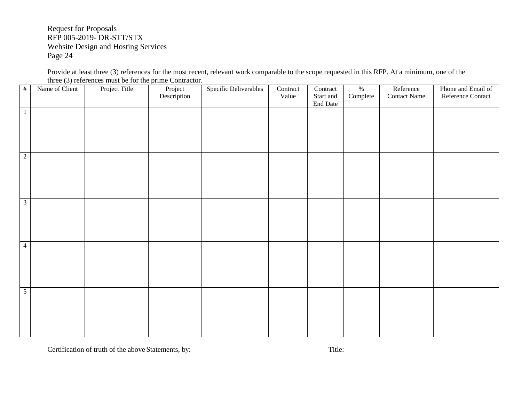Provide at least three (3) references for the most recent, relevant work comparable to the scope requested in this RFP. At a minimum, one of the three (3) references must be for the prime Contractor.

| $\#$ | Name of Client          | Project Title | Project<br>Description | Specific Deliverables | Contract<br>Value | Contract<br>Start and<br>End Date | $\%$<br>Complete | Reference<br><b>Contact Name</b> | Phone and Email of<br>Reference Contact |
|------|-------------------------|---------------|------------------------|-----------------------|-------------------|-----------------------------------|------------------|----------------------------------|-----------------------------------------|
|      | $\mathbf{1}$            |               |                        |                       |                   |                                   |                  |                                  |                                         |
| 2    |                         |               |                        |                       |                   |                                   |                  |                                  |                                         |
|      | $\overline{\mathbf{3}}$ |               |                        |                       |                   |                                   |                  |                                  |                                         |
|      | $\overline{4}$          |               |                        |                       |                   |                                   |                  |                                  |                                         |
|      | $\overline{5}$          |               |                        |                       |                   |                                   |                  |                                  |                                         |

Certification of truth of the above Statements, by: Title: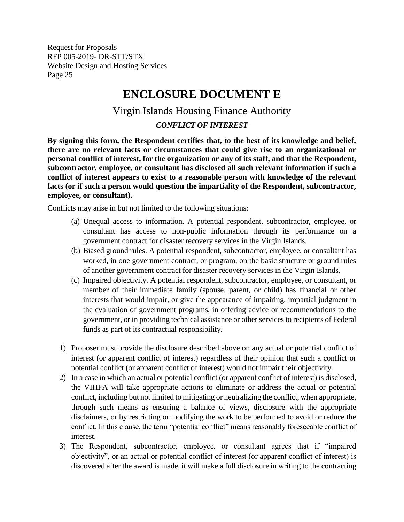# **ENCLOSURE DOCUMENT E**

# Virgin Islands Housing Finance Authority

## *CONFLICT OF INTEREST*

<span id="page-27-0"></span>**By signing this form, the Respondent certifies that, to the best of its knowledge and belief, there are no relevant facts or circumstances that could give rise to an organizational or personal conflict of interest, for the organization or any of its staff, and that the Respondent, subcontractor, employee, or consultant has disclosed all such relevant information if such a conflict of interest appears to exist to a reasonable person with knowledge of the relevant facts (or if such a person would question the impartiality of the Respondent, subcontractor, employee, or consultant).**

Conflicts may arise in but not limited to the following situations:

- (a) Unequal access to information. A potential respondent, subcontractor, employee, or consultant has access to non-public information through its performance on a government contract for disaster recovery services in the Virgin Islands.
- (b) Biased ground rules. A potential respondent, subcontractor, employee, or consultant has worked, in one government contract, or program, on the basic structure or ground rules of another government contract for disaster recovery services in the Virgin Islands.
- (c) Impaired objectivity. A potential respondent, subcontractor, employee, or consultant, or member of their immediate family (spouse, parent, or child) has financial or other interests that would impair, or give the appearance of impairing, impartial judgment in the evaluation of government programs, in offering advice or recommendations to the government, or in providing technical assistance or other services to recipients of Federal funds as part of its contractual responsibility.
- 1) Proposer must provide the disclosure described above on any actual or potential conflict of interest (or apparent conflict of interest) regardless of their opinion that such a conflict or potential conflict (or apparent conflict of interest) would not impair their objectivity.
- 2) In a case in which an actual or potential conflict (or apparent conflict of interest) is disclosed, the VIHFA will take appropriate actions to eliminate or address the actual or potential conflict, including but not limited to mitigating or neutralizing the conflict, when appropriate, through such means as ensuring a balance of views, disclosure with the appropriate disclaimers, or by restricting or modifying the work to be performed to avoid or reduce the conflict. In this clause, the term "potential conflict" means reasonably foreseeable conflict of interest.
- 3) The Respondent, subcontractor, employee, or consultant agrees that if "impaired objectivity", or an actual or potential conflict of interest (or apparent conflict of interest) is discovered after the award is made, it will make a full disclosure in writing to the contracting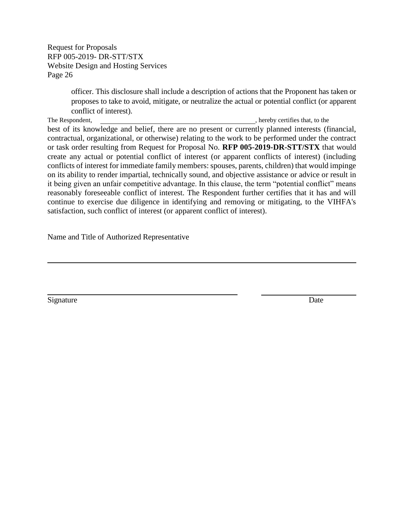> officer. This disclosure shall include a description of actions that the Proponent has taken or proposes to take to avoid, mitigate, or neutralize the actual or potential conflict (or apparent conflict of interest).

The Respondent,  $\blacksquare$ , hereby certifies that, to the best of its knowledge and belief, there are no present or currently planned interests (financial, contractual, organizational, or otherwise) relating to the work to be performed under the contract or task order resulting from Request for Proposal No. **RFP 005-2019-DR-STT/STX** that would create any actual or potential conflict of interest (or apparent conflicts of interest) (including conflicts of interest for immediate family members: spouses, parents, children) that would impinge on its ability to render impartial, technically sound, and objective assistance or advice or result in it being given an unfair competitive advantage. In this clause, the term "potential conflict" means reasonably foreseeable conflict of interest. The Respondent further certifies that it has and will continue to exercise due diligence in identifying and removing or mitigating, to the VIHFA's satisfaction, such conflict of interest (or apparent conflict of interest).

Name and Title of Authorized Representative

Signature Date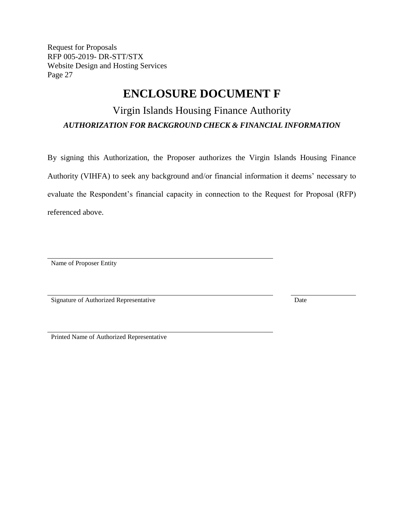# **ENCLOSURE DOCUMENT F**

# <span id="page-29-0"></span>Virgin Islands Housing Finance Authority *AUTHORIZATION FOR BACKGROUND CHECK & FINANCIAL INFORMATION*

By signing this Authorization, the Proposer authorizes the Virgin Islands Housing Finance Authority (VIHFA) to seek any background and/or financial information it deems' necessary to evaluate the Respondent's financial capacity in connection to the Request for Proposal (RFP) referenced above.

Name of Proposer Entity

Signature of Authorized Representative Date

Printed Name of Authorized Representative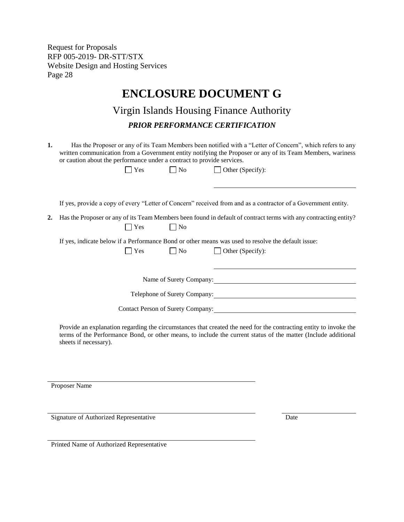# **ENCLOSURE DOCUMENT G**

# Virgin Islands Housing Finance Authority *PRIOR PERFORMANCE CERTIFICATION*

<span id="page-30-0"></span>

| Has the Proposer or any of its Team Members been notified with a "Letter of Concern", which refers to any  |
|------------------------------------------------------------------------------------------------------------|
| written communication from a Government entity notifying the Proposer or any of its Team Members, wariness |
| or caution about the performance under a contract to provide services.                                     |

 $\Box$  Yes  $\Box$  No  $\Box$  Other (Specify):

If yes, provide a copy of every "Letter of Concern" received from and as a contractor of a Government entity.

**2.** Has the Proposer or any of its Team Members been found in default of contract terms with any contracting entity?  $\bigcap$  Yes  $\bigcap$  No

If yes, indicate below if a Performance Bond or other means was used to resolve the default issue:

| $\sim$<br>۰.<br>× |
|-------------------|
|-------------------|

Name of Surety Company: 2008

Telephone of Surety Company:

 $\Box$  No  $\Box$  Other (Specify):

Contact Person of Surety Company:

Provide an explanation regarding the circumstances that created the need for the contracting entity to invoke the terms of the Performance Bond, or other means, to include the current status of the matter (Include additional sheets if necessary).

Proposer Name

Signature of Authorized Representative Date

Printed Name of Authorized Representative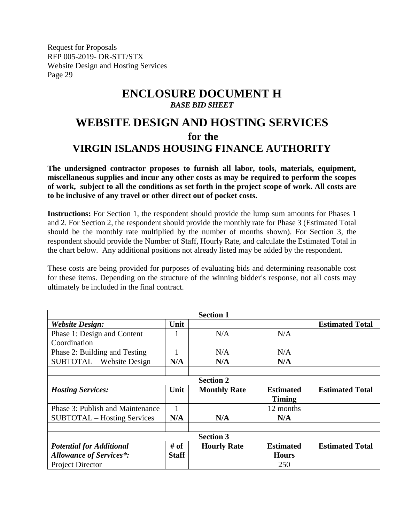# **ENCLOSURE DOCUMENT H** *BASE BID SHEET*

# <span id="page-31-0"></span>**WEBSITE DESIGN AND HOSTING SERVICES for the VIRGIN ISLANDS HOUSING FINANCE AUTHORITY**

**The undersigned contractor proposes to furnish all labor, tools, materials, equipment, miscellaneous supplies and incur any other costs as may be required to perform the scopes of work, subject to all the conditions as set forth in the project scope of work. All costs are to be inclusive of any travel or other direct out of pocket costs.**

**Instructions:** For Section 1, the respondent should provide the lump sum amounts for Phases 1 and 2. For Section 2, the respondent should provide the monthly rate for Phase 3 (Estimated Total should be the monthly rate multiplied by the number of months shown). For Section 3, the respondent should provide the Number of Staff, Hourly Rate, and calculate the Estimated Total in the chart below.Any additional positions not already listed may be added by the respondent.

These costs are being provided for purposes of evaluating bids and determining reasonable cost for these items. Depending on the structure of the winning bidder's response, not all costs may ultimately be included in the final contract.

| <b>Section 1</b>                   |              |                     |                  |                        |
|------------------------------------|--------------|---------------------|------------------|------------------------|
| <b>Website Design:</b>             | Unit         |                     |                  | <b>Estimated Total</b> |
| Phase 1: Design and Content        |              | N/A                 | N/A              |                        |
| Coordination                       |              |                     |                  |                        |
| Phase 2: Building and Testing      |              | N/A                 | N/A              |                        |
| SUBTOTAL – Website Design          | N/A          | N/A                 | N/A              |                        |
|                                    |              |                     |                  |                        |
|                                    |              | <b>Section 2</b>    |                  |                        |
| <b>Hosting Services:</b>           | Unit         | <b>Monthly Rate</b> | <b>Estimated</b> | <b>Estimated Total</b> |
|                                    |              |                     | <b>Timing</b>    |                        |
| Phase 3: Publish and Maintenance   |              |                     | 12 months        |                        |
| <b>SUBTOTAL</b> – Hosting Services | N/A          | N/A                 | N/A              |                        |
|                                    |              |                     |                  |                        |
| <b>Section 3</b>                   |              |                     |                  |                        |
| <b>Potential for Additional</b>    | # of         | <b>Hourly Rate</b>  | <b>Estimated</b> | <b>Estimated Total</b> |
| <b>Allowance of Services*:</b>     | <b>Staff</b> |                     | <b>Hours</b>     |                        |
| <b>Project Director</b>            |              |                     | 250              |                        |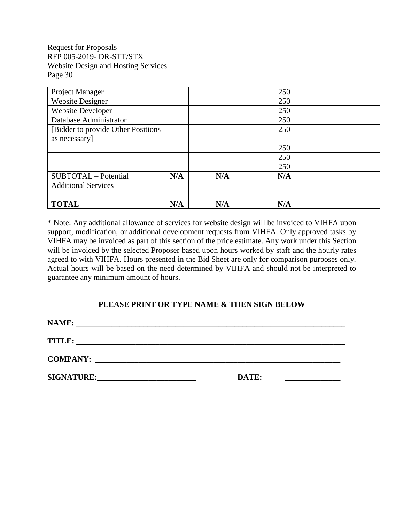| Project Manager                     |     |     | 250 |  |
|-------------------------------------|-----|-----|-----|--|
| <b>Website Designer</b>             |     |     | 250 |  |
| <b>Website Developer</b>            |     |     | 250 |  |
| Database Administrator              |     |     | 250 |  |
| [Bidder to provide Other Positions] |     |     | 250 |  |
| as necessary]                       |     |     |     |  |
|                                     |     |     | 250 |  |
|                                     |     |     | 250 |  |
|                                     |     |     | 250 |  |
| SUBTOTAL - Potential                | N/A | N/A | N/A |  |
| <b>Additional Services</b>          |     |     |     |  |
|                                     |     |     |     |  |
| <b>TOTAL</b>                        | N/A | N/A | N/A |  |

\* Note: Any additional allowance of services for website design will be invoiced to VIHFA upon support, modification, or additional development requests from VIHFA. Only approved tasks by VIHFA may be invoiced as part of this section of the price estimate. Any work under this Section will be invoiced by the selected Proposer based upon hours worked by staff and the hourly rates agreed to with VIHFA. Hours presented in the Bid Sheet are only for comparison purposes only. Actual hours will be based on the need determined by VIHFA and should not be interpreted to guarantee any minimum amount of hours.

## **PLEASE PRINT OR TYPE NAME & THEN SIGN BELOW**

| <b>NAME:</b>                                                                        |       |  |
|-------------------------------------------------------------------------------------|-------|--|
| <b>TITLE:</b>                                                                       |       |  |
| <b>COMPANY:</b><br><u> 1980 - Jan Barbara, martin da kasar Amerikaan Indonesia.</u> |       |  |
| <b>SIGNATURE:</b>                                                                   | DATE: |  |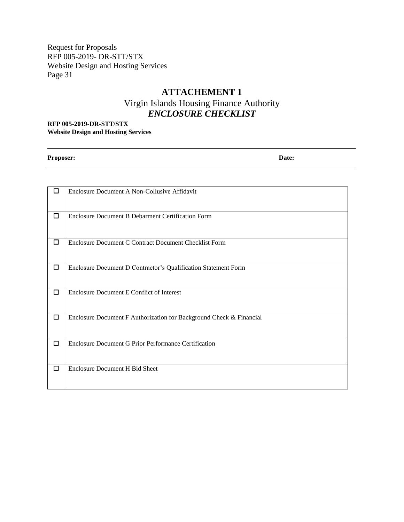# **ATTACHEMENT 1**

# Virgin Islands Housing Finance Authority *ENCLOSURE CHECKLIST*

<span id="page-33-0"></span>**RFP 005-2019-DR-STT/STX Website Design and Hosting Services**

**Proposer: Date:**

| □      | Enclosure Document A Non-Collusive Affidavit                        |
|--------|---------------------------------------------------------------------|
| □      | Enclosure Document B Debarment Certification Form                   |
| □      | Enclosure Document C Contract Document Checklist Form               |
| □      | Enclosure Document D Contractor's Qualification Statement Form      |
| $\Box$ | Enclosure Document E Conflict of Interest                           |
| $\Box$ | Enclosure Document F Authorization for Background Check & Financial |
| □      | Enclosure Document G Prior Performance Certification                |
| $\Box$ | <b>Enclosure Document H Bid Sheet</b>                               |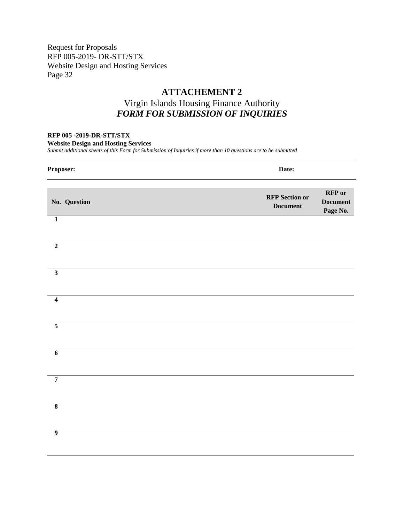# **ATTACHEMENT 2**

# Virgin Islands Housing Finance Authority *FORM FOR SUBMISSION OF INQUIRIES*

### <span id="page-34-0"></span>**RFP 005 -2019-DR-STT/STX**

**Website Design and Hosting Services**

*Submit additional sheets of this Form for Submission of Inquiries if more than 10 questions are to be submitted*

| Proposer:               | Date:                                                                                      |
|-------------------------|--------------------------------------------------------------------------------------------|
| No. Question            | <b>RFP</b> or<br><b>RFP</b> Section or<br><b>Document</b><br>$\bold{Document}$<br>Page No. |
| $\mathbf{1}$            |                                                                                            |
| $\mathbf 2$             |                                                                                            |
| $\overline{\mathbf{3}}$ |                                                                                            |
| $\overline{\mathbf{4}}$ |                                                                                            |
| $\overline{5}$          |                                                                                            |
| $\overline{6}$          |                                                                                            |
| $\overline{7}$          |                                                                                            |
| $\overline{\mathbf{8}}$ |                                                                                            |
| $\overline{9}$          |                                                                                            |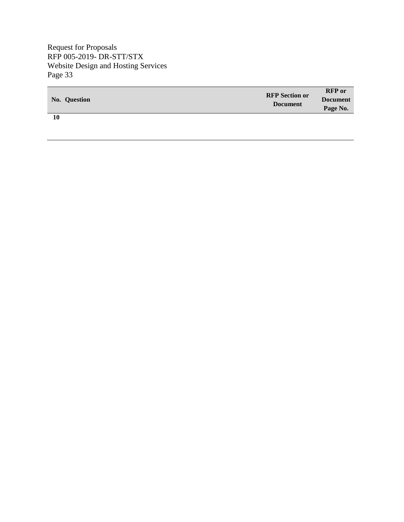| No. Question | <b>RFP</b> Section or<br><b>Document</b> | <b>RFP</b> or<br><b>Document</b><br>Page No. |
|--------------|------------------------------------------|----------------------------------------------|
| 10           |                                          |                                              |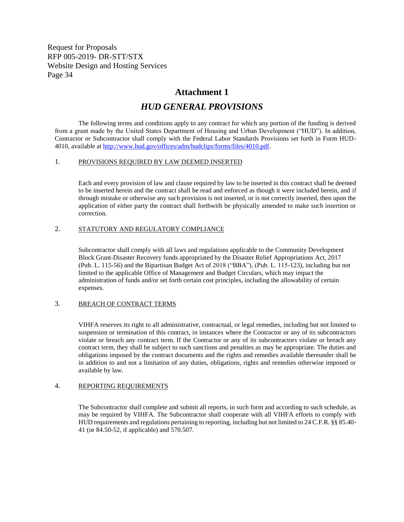## **Attachment 1**

# *HUD GENERAL PROVISIONS*

<span id="page-36-0"></span>The following terms and conditions apply to any contract for which any portion of the funding is derived from a grant made by the United States Department of Housing and Urban Development ("HUD"). In addition, Contractor or Subcontractor shall comply with the Federal Labor Standards Provisions set forth in Form HUD-4010, available at [http://www.hud.gov/offices/adm/hudclips/forms/files/4010.pdf.](http://www.hud.gov/offices/adm/hudclips/forms/files/4010.pdf)

### 1. PROVISIONS REQUIRED BY LAW DEEMED INSERTED

Each and every provision of law and clause required by law to be inserted in this contract shall be deemed to be inserted herein and the contract shall be read and enforced as though it were included herein, and if through mistake or otherwise any such provision is not inserted, or is not correctly inserted, then upon the application of either party the contract shall forthwith be physically amended to make such insertion or correction.

### 2. STATUTORY AND REGULATORY COMPLIANCE

Subcontractor shall comply with all laws and regulations applicable to the Community Development Block Grant-Disaster Recovery funds appropriated by the Disaster Relief Appropriations Act, 2017 (Pub. L. 115-56) and the Bipartisan Budget Act of 2018 ("BBA"), (Pub. L. 115-123), including but not limited to the applicable Office of Management and Budget Circulars, which may impact the administration of funds and/or set forth certain cost principles, including the allowability of certain expenses.

#### 3. BREACH OF CONTRACT TERMS

VIHFA reserves its right to all administrative, contractual, or legal remedies, including but not limited to suspension or termination of this contract, in instances where the Contractor or any of its subcontractors violate or breach any contract term. If the Contractor or any of its subcontractors violate or breach any contract term, they shall be subject to such sanctions and penalties as may be appropriate. The duties and obligations imposed by the contract documents and the rights and remedies available thereunder shall be in addition to and not a limitation of any duties, obligations, rights and remedies otherwise imposed or available by law.

#### 4. REPORTING REQUIREMENTS

The Subcontractor shall complete and submit all reports, in such form and according to such schedule, as may be required by VIHFA. The Subcontractor shall cooperate with all VIHFA efforts to comply with HUD requirements and regulations pertaining to reporting, including but not limited to 24 C.F.R. §§ 85.40- 41 (or 84.50-52, if applicable) and 570.507.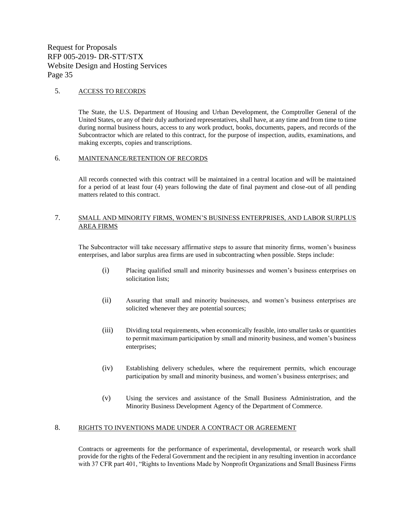#### 5. ACCESS TO RECORDS

The State, the U.S. Department of Housing and Urban Development, the Comptroller General of the United States, or any of their duly authorized representatives, shall have, at any time and from time to time during normal business hours, access to any work product, books, documents, papers, and records of the Subcontractor which are related to this contract, for the purpose of inspection, audits, examinations, and making excerpts, copies and transcriptions.

#### 6. MAINTENANCE/RETENTION OF RECORDS

All records connected with this contract will be maintained in a central location and will be maintained for a period of at least four (4) years following the date of final payment and close-out of all pending matters related to this contract.

### 7. SMALL AND MINORITY FIRMS, WOMEN'S BUSINESS ENTERPRISES, AND LABOR SURPLUS AREA FIRMS

The Subcontractor will take necessary affirmative steps to assure that minority firms, women's business enterprises, and labor surplus area firms are used in subcontracting when possible. Steps include:

- (i) Placing qualified small and minority businesses and women's business enterprises on solicitation lists;
- (ii) Assuring that small and minority businesses, and women's business enterprises are solicited whenever they are potential sources;
- (iii) Dividing total requirements, when economically feasible, into smaller tasks or quantities to permit maximum participation by small and minority business, and women's business enterprises;
- (iv) Establishing delivery schedules, where the requirement permits, which encourage participation by small and minority business, and women's business enterprises; and
- (v) Using the services and assistance of the Small Business Administration, and the Minority Business Development Agency of the Department of Commerce.

### 8. RIGHTS TO INVENTIONS MADE UNDER A CONTRACT OR AGREEMENT

Contracts or agreements for the performance of experimental, developmental, or research work shall provide for the rights of the Federal Government and the recipient in any resulting invention in accordance with 37 CFR part 401, "Rights to Inventions Made by Nonprofit Organizations and Small Business Firms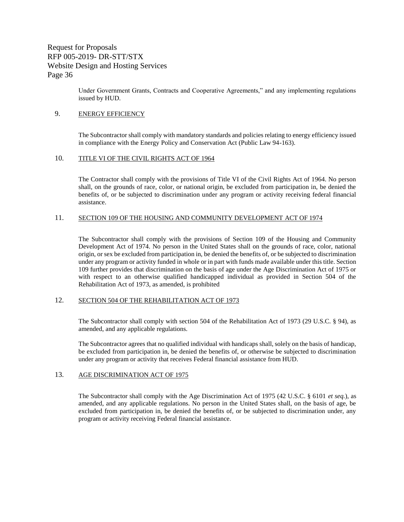> Under Government Grants, Contracts and Cooperative Agreements," and any implementing regulations issued by HUD.

#### 9. **ENERGY EFFICIENCY**

The Subcontractor shall comply with mandatory standards and policies relating to energy efficiency issued in compliance with the Energy Policy and Conservation Act (Public Law 94-163).

#### 10. TITLE VI OF THE CIVIL RIGHTS ACT OF 1964

The Contractor shall comply with the provisions of Title VI of the Civil Rights Act of 1964. No person shall, on the grounds of race, color, or national origin, be excluded from participation in, be denied the benefits of, or be subjected to discrimination under any program or activity receiving federal financial assistance.

#### 11. SECTION 109 OF THE HOUSING AND COMMUNITY DEVELOPMENT ACT OF 1974

The Subcontractor shall comply with the provisions of Section 109 of the Housing and Community Development Act of 1974. No person in the United States shall on the grounds of race, color, national origin, or sex be excluded from participation in, be denied the benefits of, or be subjected to discrimination under any program or activity funded in whole or in part with funds made available under this title. Section 109 further provides that discrimination on the basis of age under the Age Discrimination Act of 1975 or with respect to an otherwise qualified handicapped individual as provided in Section 504 of the Rehabilitation Act of 1973, as amended, is prohibited

#### 12. SECTION 504 OF THE REHABILITATION ACT OF 1973

The Subcontractor shall comply with section 504 of the Rehabilitation Act of 1973 (29 U.S.C. § 94), as amended, and any applicable regulations.

The Subcontractor agrees that no qualified individual with handicaps shall, solely on the basis of handicap, be excluded from participation in, be denied the benefits of, or otherwise be subjected to discrimination under any program or activity that receives Federal financial assistance from HUD.

### 13. AGE DISCRIMINATION ACT OF 1975

The Subcontractor shall comply with the Age Discrimination Act of 1975 (42 U.S.C. § 6101 *et seq.*), as amended, and any applicable regulations. No person in the United States shall, on the basis of age, be excluded from participation in, be denied the benefits of, or be subjected to discrimination under, any program or activity receiving Federal financial assistance.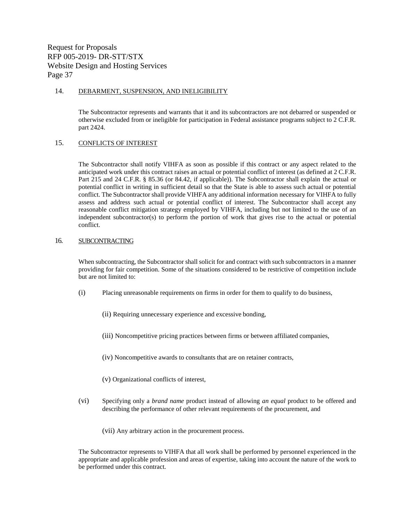#### 14. DEBARMENT, SUSPENSION, AND INELIGIBILITY

The Subcontractor represents and warrants that it and its subcontractors are not debarred or suspended or otherwise excluded from or ineligible for participation in Federal assistance programs subject to 2 C.F.R. part 2424.

#### 15. CONFLICTS OF INTEREST

The Subcontractor shall notify VIHFA as soon as possible if this contract or any aspect related to the anticipated work under this contract raises an actual or potential conflict of interest (as defined at 2 C.F.R. Part 215 and 24 C.F.R. § 85.36 (or 84.42, if applicable)). The Subcontractor shall explain the actual or potential conflict in writing in sufficient detail so that the State is able to assess such actual or potential conflict. The Subcontractor shall provide VIHFA any additional information necessary for VIHFA to fully assess and address such actual or potential conflict of interest. The Subcontractor shall accept any reasonable conflict mitigation strategy employed by VIHFA, including but not limited to the use of an independent subcontractor(s) to perform the portion of work that gives rise to the actual or potential conflict.

#### 16. SUBCONTRACTING

When subcontracting, the Subcontractor shall solicit for and contract with such subcontractors in a manner providing for fair competition. Some of the situations considered to be restrictive of competition include but are not limited to:

- (i) Placing unreasonable requirements on firms in order for them to qualify to do business,
	- (ii) Requiring unnecessary experience and excessive bonding,
	- (iii) Noncompetitive pricing practices between firms or between affiliated companies,
	- (iv) Noncompetitive awards to consultants that are on retainer contracts,
	- (v) Organizational conflicts of interest,
- (vi) Specifying only a *brand name* product instead of allowing *an equal* product to be offered and describing the performance of other relevant requirements of the procurement, and
	- (vii) Any arbitrary action in the procurement process.

The Subcontractor represents to VIHFA that all work shall be performed by personnel experienced in the appropriate and applicable profession and areas of expertise, taking into account the nature of the work to be performed under this contract.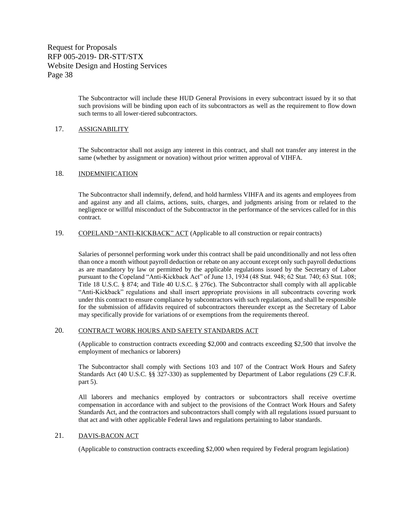> The Subcontractor will include these HUD General Provisions in every subcontract issued by it so that such provisions will be binding upon each of its subcontractors as well as the requirement to flow down such terms to all lower-tiered subcontractors.

### 17. ASSIGNABILITY

The Subcontractor shall not assign any interest in this contract, and shall not transfer any interest in the same (whether by assignment or novation) without prior written approval of VIHFA.

#### 18. INDEMNIFICATION

The Subcontractor shall indemnify, defend, and hold harmless VIHFA and its agents and employees from and against any and all claims, actions, suits, charges, and judgments arising from or related to the negligence or willful misconduct of the Subcontractor in the performance of the services called for in this contract.

19. COPELAND "ANTI-KICKBACK" ACT (Applicable to all construction or repair contracts)

Salaries of personnel performing work under this contract shall be paid unconditionally and not less often than once a month without payroll deduction or rebate on any account except only such payroll deductions as are mandatory by law or permitted by the applicable regulations issued by the Secretary of Labor pursuant to the Copeland "Anti-Kickback Act" of June 13, 1934 (48 Stat. 948; 62 Stat. 740; 63 Stat. 108; Title 18 U.S.C. § 874; and Title 40 U.S.C. § 276c). The Subcontractor shall comply with all applicable "Anti-Kickback" regulations and shall insert appropriate provisions in all subcontracts covering work under this contract to ensure compliance by subcontractors with such regulations, and shall be responsible for the submission of affidavits required of subcontractors thereunder except as the Secretary of Labor may specifically provide for variations of or exemptions from the requirements thereof.

#### 20. CONTRACT WORK HOURS AND SAFETY STANDARDS ACT

(Applicable to construction contracts exceeding \$2,000 and contracts exceeding \$2,500 that involve the employment of mechanics or laborers)

The Subcontractor shall comply with Sections 103 and 107 of the Contract Work Hours and Safety Standards Act (40 U.S.C. §§ 327-330) as supplemented by Department of Labor regulations (29 C.F.R. part 5).

All laborers and mechanics employed by contractors or subcontractors shall receive overtime compensation in accordance with and subject to the provisions of the Contract Work Hours and Safety Standards Act, and the contractors and subcontractors shall comply with all regulations issued pursuant to that act and with other applicable Federal laws and regulations pertaining to labor standards.

#### 21. DAVIS-BACON ACT

(Applicable to construction contracts exceeding \$2,000 when required by Federal program legislation)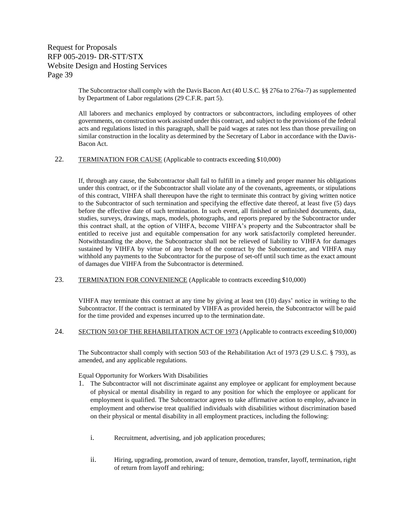> The Subcontractor shall comply with the Davis Bacon Act (40 U.S.C. §§ 276a to 276a-7) as supplemented by Department of Labor regulations (29 C.F.R. part 5).

> All laborers and mechanics employed by contractors or subcontractors, including employees of other governments, on construction work assisted under this contract, and subject to the provisions of the federal acts and regulations listed in this paragraph, shall be paid wages at rates not less than those prevailing on similar construction in the locality as determined by the Secretary of Labor in accordance with the Davis-Bacon Act.

### 22. TERMINATION FOR CAUSE (Applicable to contracts exceeding \$10,000)

If, through any cause, the Subcontractor shall fail to fulfill in a timely and proper manner his obligations under this contract, or if the Subcontractor shall violate any of the covenants, agreements, or stipulations of this contract, VIHFA shall thereupon have the right to terminate this contract by giving written notice to the Subcontractor of such termination and specifying the effective date thereof, at least five (5) days before the effective date of such termination. In such event, all finished or unfinished documents, data, studies, surveys, drawings, maps, models, photographs, and reports prepared by the Subcontractor under this contract shall, at the option of VIHFA, become VIHFA's property and the Subcontractor shall be entitled to receive just and equitable compensation for any work satisfactorily completed hereunder. Notwithstanding the above, the Subcontractor shall not be relieved of liability to VIHFA for damages sustained by VIHFA by virtue of any breach of the contract by the Subcontractor, and VIHFA may withhold any payments to the Subcontractor for the purpose of set-off until such time as the exact amount of damages due VIHFA from the Subcontractor is determined.

23. TERMINATION FOR CONVENIENCE (Applicable to contracts exceeding \$10,000)

VIHFA may terminate this contract at any time by giving at least ten (10) days' notice in writing to the Subcontractor. If the contract is terminated by VIHFA as provided herein, the Subcontractor will be paid for the time provided and expenses incurred up to the termination date.

24. SECTION 503 OF THE REHABILITATION ACT OF 1973 (Applicable to contracts exceeding \$10,000)

The Subcontractor shall comply with section 503 of the Rehabilitation Act of 1973 (29 U.S.C. § 793), as amended, and any applicable regulations.

Equal Opportunity for Workers With Disabilities

- 1. The Subcontractor will not discriminate against any employee or applicant for employment because of physical or mental disability in regard to any position for which the employee or applicant for employment is qualified. The Subcontractor agrees to take affirmative action to employ, advance in employment and otherwise treat qualified individuals with disabilities without discrimination based on their physical or mental disability in all employment practices, including the following:
	- i. Recruitment, advertising, and job application procedures;
	- ii. Hiring, upgrading, promotion, award of tenure, demotion, transfer, layoff, termination, right of return from layoff and rehiring;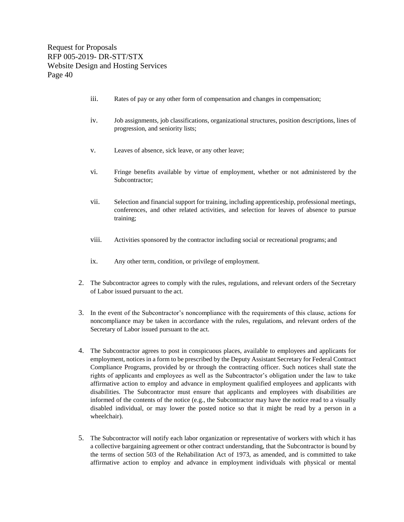- iii. Rates of pay or any other form of compensation and changes in compensation;
- iv. Job assignments, job classifications, organizational structures, position descriptions, lines of progression, and seniority lists;
- v. Leaves of absence, sick leave, or any other leave;
- vi. Fringe benefits available by virtue of employment, whether or not administered by the Subcontractor;
- vii. Selection and financial support for training, including apprenticeship, professional meetings, conferences, and other related activities, and selection for leaves of absence to pursue training;
- viii. Activities sponsored by the contractor including social or recreational programs; and
- ix. Any other term, condition, or privilege of employment.
- 2. The Subcontractor agrees to comply with the rules, regulations, and relevant orders of the Secretary of Labor issued pursuant to the act.
- 3. In the event of the Subcontractor's noncompliance with the requirements of this clause, actions for noncompliance may be taken in accordance with the rules, regulations, and relevant orders of the Secretary of Labor issued pursuant to the act.
- 4. The Subcontractor agrees to post in conspicuous places, available to employees and applicants for employment, notices in a form to be prescribed by the Deputy Assistant Secretary for Federal Contract Compliance Programs, provided by or through the contracting officer. Such notices shall state the rights of applicants and employees as well as the Subcontractor's obligation under the law to take affirmative action to employ and advance in employment qualified employees and applicants with disabilities. The Subcontractor must ensure that applicants and employees with disabilities are informed of the contents of the notice (e.g., the Subcontractor may have the notice read to a visually disabled individual, or may lower the posted notice so that it might be read by a person in a wheelchair).
- 5. The Subcontractor will notify each labor organization or representative of workers with which it has a collective bargaining agreement or other contract understanding, that the Subcontractor is bound by the terms of section 503 of the Rehabilitation Act of 1973, as amended, and is committed to take affirmative action to employ and advance in employment individuals with physical or mental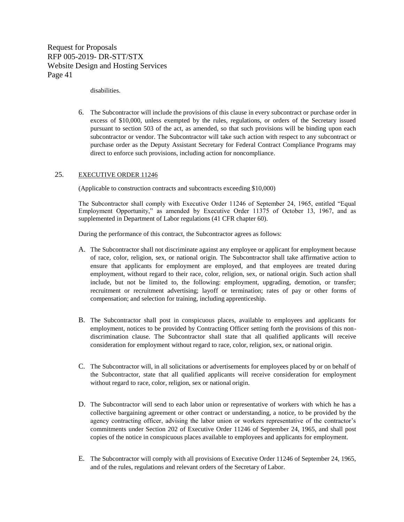disabilities.

6. The Subcontractor will include the provisions of this clause in every subcontract or purchase order in excess of \$10,000, unless exempted by the rules, regulations, or orders of the Secretary issued pursuant to section 503 of the act, as amended, so that such provisions will be binding upon each subcontractor or vendor. The Subcontractor will take such action with respect to any subcontract or purchase order as the Deputy Assistant Secretary for Federal Contract Compliance Programs may direct to enforce such provisions, including action for noncompliance.

### 25. EXECUTIVE ORDER 11246

(Applicable to construction contracts and subcontracts exceeding \$10,000)

The Subcontractor shall comply with Executive Order 11246 of September 24, 1965, entitled "Equal Employment Opportunity," as amended by Executive Order 11375 of October 13, 1967, and as supplemented in Department of Labor regulations (41 CFR chapter 60).

During the performance of this contract, the Subcontractor agrees as follows:

- A. The Subcontractor shall not discriminate against any employee or applicant for employment because of race, color, religion, sex, or national origin. The Subcontractor shall take affirmative action to ensure that applicants for employment are employed, and that employees are treated during employment, without regard to their race, color, religion, sex, or national origin. Such action shall include, but not be limited to, the following: employment, upgrading, demotion, or transfer; recruitment or recruitment advertising; layoff or termination; rates of pay or other forms of compensation; and selection for training, including apprenticeship.
- B. The Subcontractor shall post in conspicuous places, available to employees and applicants for employment, notices to be provided by Contracting Officer setting forth the provisions of this nondiscrimination clause. The Subcontractor shall state that all qualified applicants will receive consideration for employment without regard to race, color, religion, sex, or national origin.
- C. The Subcontractor will, in all solicitations or advertisements for employees placed by or on behalf of the Subcontractor, state that all qualified applicants will receive consideration for employment without regard to race, color, religion, sex or national origin.
- D. The Subcontractor will send to each labor union or representative of workers with which he has a collective bargaining agreement or other contract or understanding, a notice, to be provided by the agency contracting officer, advising the labor union or workers representative of the contractor's commitments under Section 202 of Executive Order 11246 of September 24, 1965, and shall post copies of the notice in conspicuous places available to employees and applicants for employment.
- E. The Subcontractor will comply with all provisions of Executive Order 11246 of September 24, 1965, and of the rules, regulations and relevant orders of the Secretary of Labor.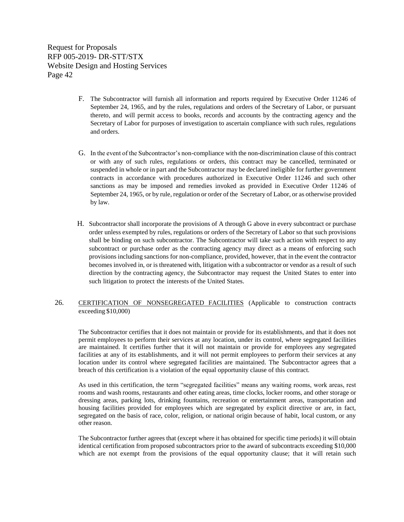- F. The Subcontractor will furnish all information and reports required by Executive Order 11246 of September 24, 1965, and by the rules, regulations and orders of the Secretary of Labor, or pursuant thereto, and will permit access to books, records and accounts by the contracting agency and the Secretary of Labor for purposes of investigation to ascertain compliance with such rules, regulations and orders.
- G. In the event of the Subcontractor's non-compliance with the non-discrimination clause of this contract or with any of such rules, regulations or orders, this contract may be cancelled, terminated or suspended in whole or in part and the Subcontractor may be declared ineligible for further government contracts in accordance with procedures authorized in Executive Order 11246 and such other sanctions as may be imposed and remedies invoked as provided in Executive Order 11246 of September 24, 1965, or by rule, regulation or order of the Secretary of Labor, or as otherwise provided by law.
- H. Subcontractor shall incorporate the provisions of A through G above in every subcontract or purchase order unless exempted by rules, regulations or orders of the Secretary of Labor so that such provisions shall be binding on such subcontractor. The Subcontractor will take such action with respect to any subcontract or purchase order as the contracting agency may direct as a means of enforcing such provisions including sanctions for non-compliance, provided, however, that in the event the contractor becomes involved in, or is threatened with, litigation with a subcontractor or vendor as a result of such direction by the contracting agency, the Subcontractor may request the United States to enter into such litigation to protect the interests of the United States.

### 26. CERTIFICATION OF NONSEGREGATED FACILITIES (Applicable to construction contracts exceeding \$10,000)

The Subcontractor certifies that it does not maintain or provide for its establishments, and that it does not permit employees to perform their services at any location, under its control, where segregated facilities are maintained. It certifies further that it will not maintain or provide for employees any segregated facilities at any of its establishments, and it will not permit employees to perform their services at any location under its control where segregated facilities are maintained. The Subcontractor agrees that a breach of this certification is a violation of the equal opportunity clause of this contract.

As used in this certification, the term "segregated facilities" means any waiting rooms, work areas, rest rooms and wash rooms, restaurants and other eating areas, time clocks, locker rooms, and other storage or dressing areas, parking lots, drinking fountains, recreation or entertainment areas, transportation and housing facilities provided for employees which are segregated by explicit directive or are, in fact, segregated on the basis of race, color, religion, or national origin because of habit, local custom, or any other reason.

The Subcontractor further agrees that (except where it has obtained for specific time periods) it will obtain identical certification from proposed subcontractors prior to the award of subcontracts exceeding \$10,000 which are not exempt from the provisions of the equal opportunity clause; that it will retain such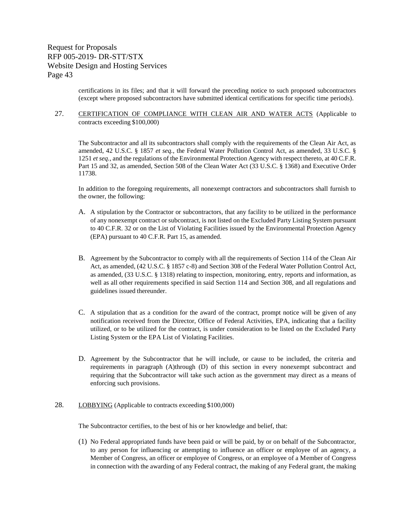> certifications in its files; and that it will forward the preceding notice to such proposed subcontractors (except where proposed subcontractors have submitted identical certifications for specific time periods).

### 27. CERTIFICATION OF COMPLIANCE WITH CLEAN AIR AND WATER ACTS (Applicable to contracts exceeding \$100,000)

The Subcontractor and all its subcontractors shall comply with the requirements of the Clean Air Act, as amended, 42 U.S.C. § 1857 *et seq.*, the Federal Water Pollution Control Act, as amended, 33 U.S.C. § 1251 *et seq.*, and the regulations of the Environmental Protection Agency with respect thereto, at 40 C.F.R. Part 15 and 32, as amended, Section 508 of the Clean Water Act (33 U.S.C. § 1368) and Executive Order 11738.

In addition to the foregoing requirements, all nonexempt contractors and subcontractors shall furnish to the owner, the following:

- A. A stipulation by the Contractor or subcontractors, that any facility to be utilized in the performance of any nonexempt contract or subcontract, is not listed on the Excluded Party Listing System pursuant to 40 C.F.R. 32 or on the List of Violating Facilities issued by the Environmental Protection Agency (EPA) pursuant to 40 C.F.R. Part 15, as amended.
- B. Agreement by the Subcontractor to comply with all the requirements of Section 114 of the Clean Air Act, as amended, (42 U.S.C. § 1857 c-8) and Section 308 of the Federal Water Pollution Control Act, as amended, (33 U.S.C. § 1318) relating to inspection, monitoring, entry, reports and information, as well as all other requirements specified in said Section 114 and Section 308, and all regulations and guidelines issued thereunder.
- C. A stipulation that as a condition for the award of the contract, prompt notice will be given of any notification received from the Director, Office of Federal Activities, EPA, indicating that a facility utilized, or to be utilized for the contract, is under consideration to be listed on the Excluded Party Listing System or the EPA List of Violating Facilities.
- D. Agreement by the Subcontractor that he will include, or cause to be included, the criteria and requirements in paragraph (A)through (D) of this section in every nonexempt subcontract and requiring that the Subcontractor will take such action as the government may direct as a means of enforcing such provisions.
- 28. LOBBYING (Applicable to contracts exceeding \$100,000)

The Subcontractor certifies, to the best of his or her knowledge and belief, that:

(1) No Federal appropriated funds have been paid or will be paid, by or on behalf of the Subcontractor, to any person for influencing or attempting to influence an officer or employee of an agency, a Member of Congress, an officer or employee of Congress, or an employee of a Member of Congress in connection with the awarding of any Federal contract, the making of any Federal grant, the making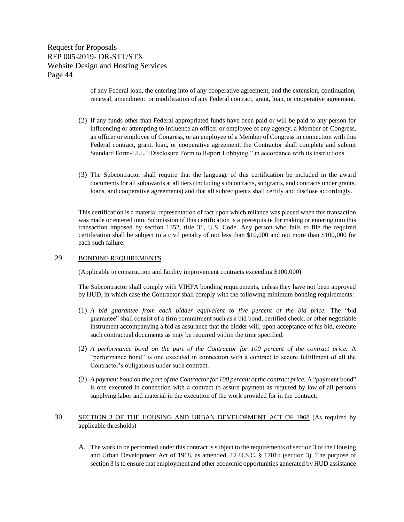> of any Federal loan, the entering into of any cooperative agreement, and the extension, continuation, renewal, amendment, or modification of any Federal contract, grant, loan, or cooperative agreement.

- (2) If any funds other than Federal appropriated funds have been paid or will be paid to any person for influencing or attempting to influence an officer or employee of any agency, a Member of Congress, an officer or employee of Congress, or an employee of a Member of Congress in connection with this Federal contract, grant, loan, or cooperative agreement, the Contractor shall complete and submit Standard Form-LLL, "Disclosure Form to Report Lobbying," in accordance with its instructions.
- (3) The Subcontractor shall require that the language of this certification be included in the award documents for all subawards at all tiers (including subcontracts, subgrants, and contracts under grants, loans, and cooperative agreements) and that all subrecipients shall certify and disclose accordingly.

This certification is a material representation of fact upon which reliance was placed when this transaction was made or entered into. Submission of this certification is a prerequisite for making or entering into this transaction imposed by section 1352, title 31, U.S. Code. Any person who fails to file the required certification shall be subject to a civil penalty of not less than \$10,000 and not more than \$100,000 for each such failure.

#### 29. BONDING REQUIREMENTS

(Applicable to construction and facility improvement contracts exceeding \$100,000)

The Subcontractor shall comply with VIHFA bonding requirements, unless they have not been approved by HUD, in which case the Contractor shall comply with the following minimum bonding requirements:

- (1) *A bid guarantee from each bidder equivalent to five percent of the bid price.* The "bid guarantee" shall consist of a firm commitment such as a bid bond, certified check, or other negotiable instrument accompanying a bid as assurance that the bidder will, upon acceptance of his bid, execute such contractual documents as may be required within the time specified.
- (2) *A performance bond on the part of the Contractor for 100 percent of the contract price.* A "performance bond" is one executed in connection with a contract to secure fulfillment of all the Contractor's obligations under such contract.
- (3) *A payment bond on the part of the Contractor for 100 percent of the contract price.* A "payment bond" is one executed in connection with a contract to assure payment as required by law of all persons supplying labor and material in the execution of the work provided for in the contract.
- 30. SECTION 3 OF THE HOUSING AND URBAN DEVELOPMENT ACT OF 1968 (As required by applicable thresholds)
	- A. The work to be performed under this contract is subject to the requirements of section 3 of the Housing and Urban Development Act of 1968, as amended, 12 U.S.C. § 1701u (section 3). The purpose of section 3 is to ensure that employment and other economic opportunities generated by HUD assistance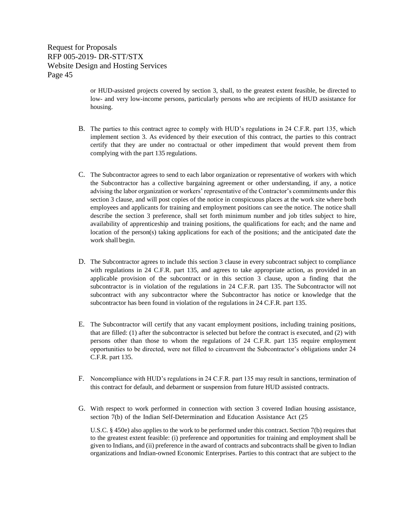> or HUD-assisted projects covered by section 3, shall, to the greatest extent feasible, be directed to low- and very low-income persons, particularly persons who are recipients of HUD assistance for housing.

- B. The parties to this contract agree to comply with HUD's regulations in 24 C.F.R. part 135, which implement section 3. As evidenced by their execution of this contract, the parties to this contract certify that they are under no contractual or other impediment that would prevent them from complying with the part 135 regulations.
- C. The Subcontractor agrees to send to each labor organization or representative of workers with which the Subcontractor has a collective bargaining agreement or other understanding, if any, a notice advising the labor organization or workers' representative of the Contractor's commitments under this section 3 clause, and will post copies of the notice in conspicuous places at the work site where both employees and applicants for training and employment positions can see the notice. The notice shall describe the section 3 preference, shall set forth minimum number and job titles subject to hire, availability of apprenticeship and training positions, the qualifications for each; and the name and location of the person(s) taking applications for each of the positions; and the anticipated date the work shall begin.
- D. The Subcontractor agrees to include this section 3 clause in every subcontract subject to compliance with regulations in 24 C.F.R. part 135, and agrees to take appropriate action, as provided in an applicable provision of the subcontract or in this section 3 clause, upon a finding that the subcontractor is in violation of the regulations in 24 C.F.R. part 135. The Subcontractor will not subcontract with any subcontractor where the Subcontractor has notice or knowledge that the subcontractor has been found in violation of the regulations in 24 C.F.R. part 135.
- E. The Subcontractor will certify that any vacant employment positions, including training positions, that are filled: (1) after the subcontractor is selected but before the contract is executed, and (2) with persons other than those to whom the regulations of 24 C.F.R. part 135 require employment opportunities to be directed, were not filled to circumvent the Subcontractor's obligations under 24 C.F.R. part 135.
- F. Noncompliance with HUD's regulations in 24 C.F.R. part 135 may result in sanctions, termination of this contract for default, and debarment or suspension from future HUD assisted contracts.
- G. With respect to work performed in connection with section 3 covered Indian housing assistance, section 7(b) of the Indian Self-Determination and Education Assistance Act (25

U.S.C. § 450e) also applies to the work to be performed under this contract. Section 7(b) requires that to the greatest extent feasible: (i) preference and opportunities for training and employment shall be given to Indians, and (ii) preference in the award of contracts and subcontracts shall be given to Indian organizations and Indian-owned Economic Enterprises. Parties to this contract that are subject to the